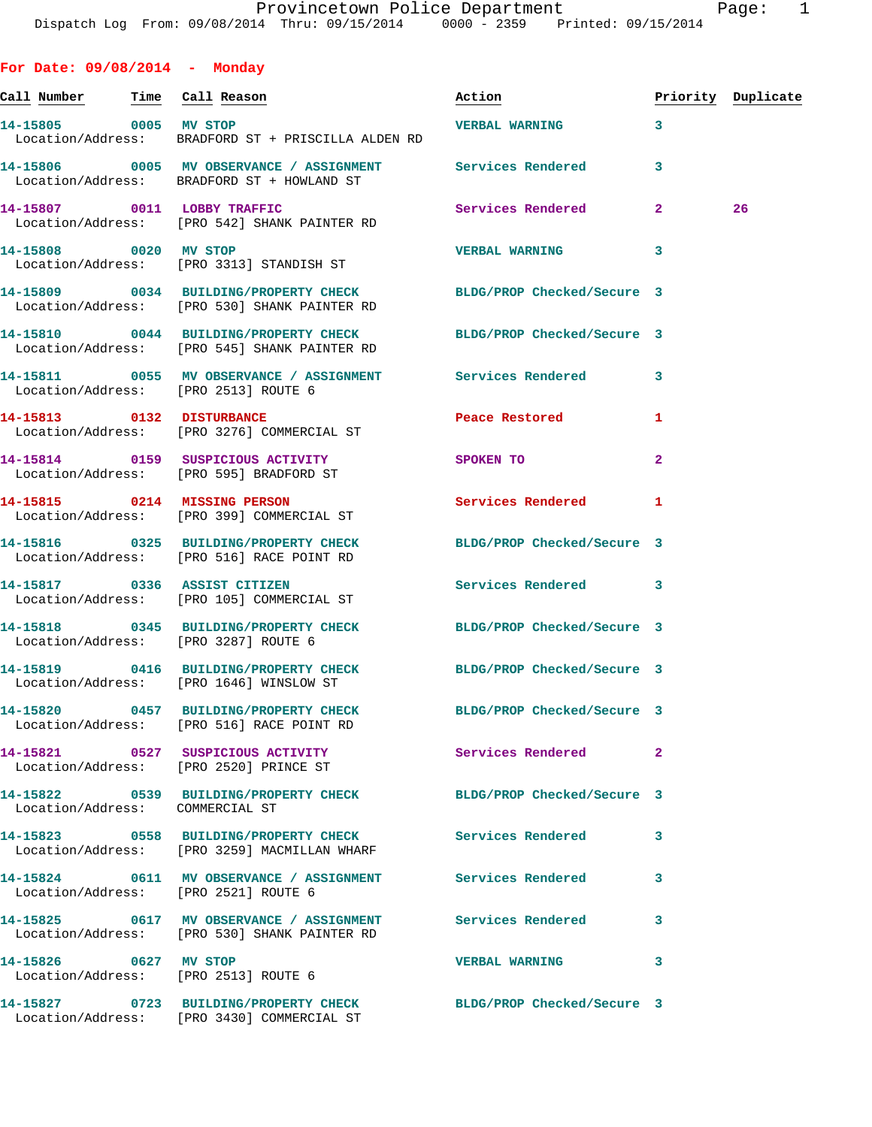|  | For Date: 09/08/2014 | Monday |
|--|----------------------|--------|
|  |                      |        |

| Call Number Time Call Reason    |                                                                                                                  | Action                      |              | Priority Duplicate |
|---------------------------------|------------------------------------------------------------------------------------------------------------------|-----------------------------|--------------|--------------------|
| 14-15805 0005 MV STOP           | Location/Address: BRADFORD ST + PRISCILLA ALDEN RD                                                               | <b>VERBAL WARNING</b>       | 3            |                    |
|                                 | 14-15806 0005 MV OBSERVANCE / ASSIGNMENT Services Rendered<br>Location/Address: BRADFORD ST + HOWLAND ST         |                             | 3            |                    |
|                                 | 14-15807 0011 LOBBY TRAFFIC<br>Location/Address: [PRO 542] SHANK PAINTER RD                                      | <b>Services Rendered</b>    | $\mathbf{2}$ | 26                 |
| 14-15808 0020 MV STOP           | Location/Address: [PRO 3313] STANDISH ST                                                                         | <b>VERBAL WARNING</b>       | 3            |                    |
|                                 | 14-15809 0034 BUILDING/PROPERTY CHECK BLDG/PROP Checked/Secure 3<br>Location/Address: [PRO 530] SHANK PAINTER RD |                             |              |                    |
|                                 | 14-15810 0044 BUILDING/PROPERTY CHECK BLDG/PROP Checked/Secure 3<br>Location/Address: [PRO 545] SHANK PAINTER RD |                             |              |                    |
|                                 | 14-15811 0055 MV OBSERVANCE / ASSIGNMENT Services Rendered<br>Location/Address: [PRO 2513] ROUTE 6               |                             | 3            |                    |
|                                 | 14-15813 0132 DISTURBANCE<br>Location/Address: [PRO 3276] COMMERCIAL ST                                          | Peace Restored <b>Peace</b> | 1            |                    |
|                                 | 14-15814 0159 SUSPICIOUS ACTIVITY<br>Location/Address: [PRO 595] BRADFORD ST                                     | SPOKEN TO                   | $\mathbf{2}$ |                    |
|                                 | 14-15815 0214 MISSING PERSON<br>Location/Address: [PRO 399] COMMERCIAL ST                                        | Services Rendered           | 1            |                    |
|                                 | 14-15816 0325 BUILDING/PROPERTY CHECK<br>Location/Address: [PRO 516] RACE POINT RD                               | BLDG/PROP Checked/Secure 3  |              |                    |
|                                 | 14-15817 0336 ASSIST CITIZEN<br>Location/Address: [PRO 105] COMMERCIAL ST                                        | Services Rendered           | 3            |                    |
|                                 | 14-15818 0345 BUILDING/PROPERTY CHECK<br>Location/Address: [PRO 3287] ROUTE 6                                    | BLDG/PROP Checked/Secure 3  |              |                    |
|                                 | 14-15819 0416 BUILDING/PROPERTY CHECK<br>Location/Address: [PRO 1646] WINSLOW ST                                 | BLDG/PROP Checked/Secure 3  |              |                    |
|                                 | 14-15820 0457 BUILDING/PROPERTY CHECK BLDG/PROP Checked/Secure 3<br>Location/Address: [PRO 516] RACE POINT RD    |                             |              |                    |
|                                 | 14-15821 0527 SUSPICIOUS ACTIVITY<br>Location/Address: [PRO 2520] PRINCE ST                                      | Services Rendered           | $\mathbf{2}$ |                    |
| Location/Address: COMMERCIAL ST | 14-15822 0539 BUILDING/PROPERTY CHECK BLDG/PROP Checked/Secure 3                                                 |                             |              |                    |
|                                 | 14-15823 0558 BUILDING/PROPERTY CHECK Services Rendered<br>Location/Address: [PRO 3259] MACMILLAN WHARF          |                             | 3            |                    |
|                                 | 14-15824 0611 MV OBSERVANCE / ASSIGNMENT Services Rendered<br>Location/Address: [PRO 2521] ROUTE 6               |                             | 3            |                    |
|                                 | 14-15825 0617 MV OBSERVANCE / ASSIGNMENT Services Rendered<br>Location/Address: [PRO 530] SHANK PAINTER RD       |                             | 3            |                    |
|                                 | 14-15826 0627 MV STOP<br>Location/Address: [PRO 2513] ROUTE 6                                                    | <b>VERBAL WARNING</b>       | 3            |                    |
|                                 | 14-15827 0723 BUILDING/PROPERTY CHECK<br>Location/Address: [PRO 3430] COMMERCIAL ST                              | BLDG/PROP Checked/Secure 3  |              |                    |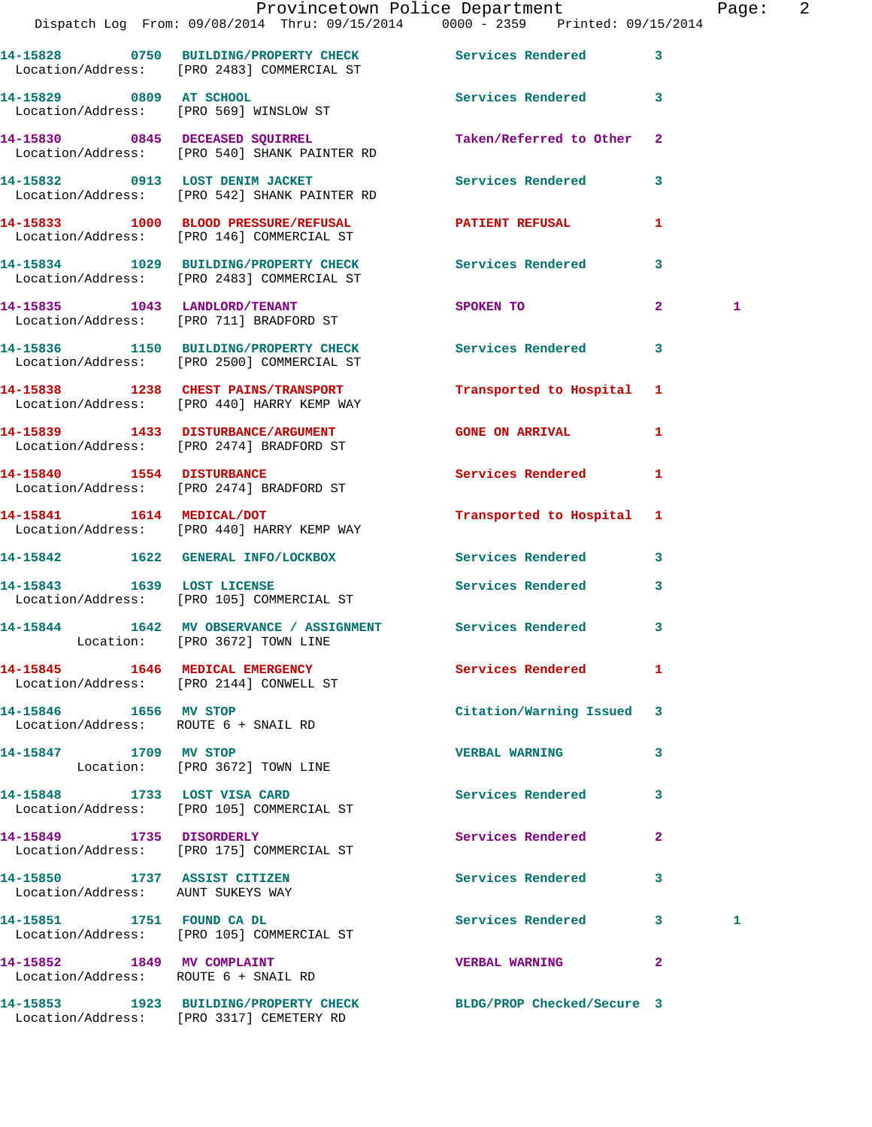|                              | Dispatch Log From: 09/08/2014 Thru: 09/15/2014 0000 - 2359 Printed: 09/15/2014                          | Provincetown Police Department |              | Page: 2 |  |
|------------------------------|---------------------------------------------------------------------------------------------------------|--------------------------------|--------------|---------|--|
|                              | 14-15828 0750 BUILDING/PROPERTY CHECK Services Rendered 3<br>Location/Address: [PRO 2483] COMMERCIAL ST |                                |              |         |  |
| 14-15829 0809 AT SCHOOL      | Location/Address: [PRO 569] WINSLOW ST                                                                  | Services Rendered 3            |              |         |  |
|                              | 14-15830 0845 DECEASED SQUIRREL<br>Location/Address: [PRO 540] SHANK PAINTER RD                         | Taken/Referred to Other 2      |              |         |  |
|                              | 14-15832 0913 LOST DENIM JACKET<br>Location/Address: [PRO 542] SHANK PAINTER RD                         | <b>Services Rendered</b>       | $\mathbf{3}$ |         |  |
|                              | 14-15833 1000 BLOOD PRESSURE/REFUSAL<br>Location/Address: [PRO 146] COMMERCIAL ST                       | PATIENT REFUSAL                | 1            |         |  |
|                              | 14-15834 1029 BUILDING/PROPERTY CHECK Services Rendered 3<br>Location/Address: [PRO 2483] COMMERCIAL ST |                                |              |         |  |
|                              | 14-15835 1043 LANDLORD/TENANT<br>Location/Address: [PRO 711] BRADFORD ST                                | SPOKEN TO                      |              | 1       |  |
|                              | 14-15836 1150 BUILDING/PROPERTY CHECK Services Rendered 3<br>Location/Address: [PRO 2500] COMMERCIAL ST |                                |              |         |  |
|                              | 14-15838 1238 CHEST PAINS/TRANSPORT<br>Location/Address: [PRO 440] HARRY KEMP WAY                       | Transported to Hospital 1      |              |         |  |
|                              | 14-15839 1433 DISTURBANCE/ARGUMENT<br>Location/Address: [PRO 2474] BRADFORD ST                          | <b>GONE ON ARRIVAL</b>         | $\mathbf{1}$ |         |  |
| 14-15840 1554 DISTURBANCE    | Location/Address: [PRO 2474] BRADFORD ST                                                                | Services Rendered 1            |              |         |  |
|                              | 14-15841 1614 MEDICAL/DOT<br>Location/Address: [PRO 440] HARRY KEMP WAY                                 | Transported to Hospital 1      |              |         |  |
|                              | 14-15842 1622 GENERAL INFO/LOCKBOX                                                                      | Services Rendered 3            |              |         |  |
|                              | 14-15843 1639 LOST LICENSE<br>Location/Address: [PRO 105] COMMERCIAL ST                                 | Services Rendered              | $\mathbf{3}$ |         |  |
|                              | 14-15844 1642 MV OBSERVANCE / ASSIGNMENT Services Rendered 3<br>Location: [PRO 3672] TOWN LINE          |                                |              |         |  |
|                              | 14-15845 1646 MEDICAL EMERGENCY<br>Location/Address: [PRO 2144] CONWELL ST                              | <b>Services Rendered</b>       | $\mathbf{1}$ |         |  |
| 14-15846 1656 MV STOP        | Location/Address: ROUTE 6 + SNAIL RD                                                                    | Citation/Warning Issued 3      |              |         |  |
| 14-15847 1709 MV STOP        | Location: [PRO 3672] TOWN LINE                                                                          | <b>VERBAL WARNING</b>          | 3            |         |  |
|                              | 14-15848 1733 LOST VISA CARD<br>Location/Address: [PRO 105] COMMERCIAL ST                               | Services Rendered              | 3            |         |  |
|                              | 14-15849 1735 DISORDERLY<br>Location/Address: [PRO 175] COMMERCIAL ST                                   | Services Rendered              | $\mathbf{2}$ |         |  |
| 14-15850 1737 ASSIST CITIZEN | Location/Address: AUNT SUKEYS WAY                                                                       | Services Rendered 3            |              |         |  |
|                              | 14-15851 1751 FOUND CA DL<br>Location/Address: [PRO 105] COMMERCIAL ST                                  | Services Rendered 3            |              | 1       |  |
| 14-15852 1849 MV COMPLAINT   | Location/Address: ROUTE 6 + SNAIL RD                                                                    | <b>VERBAL WARNING</b>          | $\mathbf{2}$ |         |  |
|                              | 14-15853 1923 BUILDING/PROPERTY CHECK BLDG/PROP Checked/Secure 3                                        |                                |              |         |  |

Location/Address: [PRO 3317] CEMETERY RD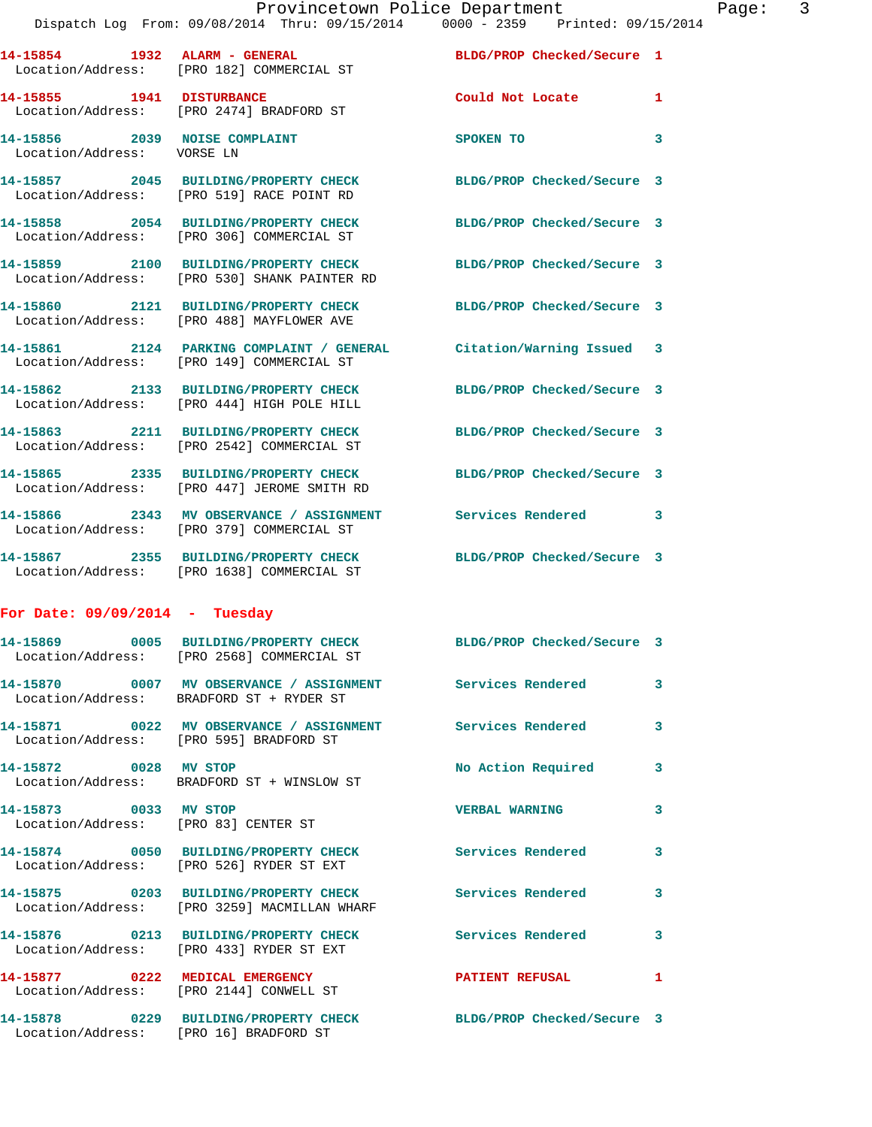|                                                             | Provincetown Police Department<br>Dispatch Log From: 09/08/2014 Thru: 09/15/2014 0000 - 2359 Printed: 09/15/2014 |                  |                            |   |
|-------------------------------------------------------------|------------------------------------------------------------------------------------------------------------------|------------------|----------------------------|---|
|                                                             |                                                                                                                  |                  |                            |   |
|                                                             | 14-15854 1932 ALARM - GENERAL<br>Location/Address: [PRO 182] COMMERCIAL ST                                       |                  | BLDG/PROP Checked/Secure 1 |   |
|                                                             | 14-15855 1941 DISTURBANCE<br>Location/Address: [PRO 2474] BRADFORD ST                                            |                  | Could Not Locate           | 1 |
| 14-15856 2039 NOISE COMPLAINT<br>Location/Address: VORSE LN |                                                                                                                  | <b>SPOKEN TO</b> |                            | 3 |
|                                                             | 14-15857 2045 BUILDING/PROPERTY CHECK BLDG/PROP Checked/Secure 3<br>Location/Address: [PRO 519] RACE POINT RD    |                  |                            |   |
|                                                             | 14-15858 2054 BUILDING/PROPERTY CHECK BLDG/PROP Checked/Secure 3<br>Location/Address: [PRO 306] COMMERCIAL ST    |                  |                            |   |
|                                                             | 14-15859 2100 BUILDING/PROPERTY CHECK BLDG/PROP Checked/Secure 3<br>Location/Address: [PRO 530] SHANK PAINTER RD |                  |                            |   |
|                                                             | 14-15860 2121 BUILDING/PROPERTY CHECK BLDG/PROP Checked/Secure 3<br>Location/Address: [PRO 488] MAYFLOWER AVE    |                  |                            |   |
|                                                             | 14-15861 2124 PARKING COMPLAINT / GENERAL Citation/Warning Issued 3<br>Location/Address: [PRO 149] COMMERCIAL ST |                  |                            |   |
|                                                             | 14-15862 2133 BUILDING/PROPERTY CHECK BLDG/PROP Checked/Secure 3<br>Location/Address: [PRO 444] HIGH POLE HILL   |                  |                            |   |
|                                                             | 14-15863 2211 BUILDING/PROPERTY CHECK BLDG/PROP Checked/Secure 3<br>Location/Address: [PRO 2542] COMMERCIAL ST   |                  |                            |   |

**14-15865 2335 BUILDING/PROPERTY CHECK BLDG/PROP Checked/Secure 3**  Location/Address: [PRO 447] JEROME SMITH RD

**14-15866 2343 MV OBSERVANCE / ASSIGNMENT Services Rendered 3**  Location/Address: [PRO 379] COMMERCIAL ST

Location/Address: [PRO 1638] COMMERCIAL ST

**14-15867 2355 BUILDING/PROPERTY CHECK BLDG/PROP Checked/Secure 3** 

**For Date: 09/09/2014 - Tuesday**

|                                                               | Location/Address: [PRO 2568] COMMERCIAL ST                                                            | BLDG/PROP Checked/Secure 3 |              |
|---------------------------------------------------------------|-------------------------------------------------------------------------------------------------------|----------------------------|--------------|
|                                                               | Location/Address: BRADFORD ST + RYDER ST                                                              |                            | $\mathbf{3}$ |
|                                                               | 14-15871 0022 MV OBSERVANCE / ASSIGNMENT Services Rendered<br>Location/Address: [PRO 595] BRADFORD ST |                            | $\mathbf{3}$ |
| 14-15872 0028 MV STOP                                         | Location/Address: BRADFORD ST + WINSLOW ST                                                            | No Action Required         | $\mathbf{3}$ |
| 14-15873 0033 MV STOP<br>Location/Address: [PRO 83] CENTER ST |                                                                                                       | <b>VERBAL WARNING</b>      | $\mathbf{3}$ |
|                                                               | 14-15874 0050 BUILDING/PROPERTY CHECK<br>Location/Address: [PRO 526] RYDER ST EXT                     | <b>Services Rendered</b>   | $\mathbf{3}$ |
|                                                               | 14-15875 0203 BUILDING/PROPERTY CHECK<br>Location/Address: [PRO 3259] MACMILLAN WHARF                 | <b>Services Rendered</b>   | $\mathbf{3}$ |
|                                                               | 14-15876  0213 BUILDING/PROPERTY CHECK  Services Rendered<br>Location/Address: [PRO 433] RYDER ST EXT |                            | $\mathbf{3}$ |
| 14-15877 0222 MEDICAL EMERGENCY                               | Location/Address: [PRO 2144] CONWELL ST                                                               | <b>PATIENT REFUSAL</b>     | $\mathbf{1}$ |
| Location/Address: [PRO 16] BRADFORD ST                        | 14-15878 0229 BUILDING/PROPERTY CHECK BLDG/PROP Checked/Secure 3                                      |                            |              |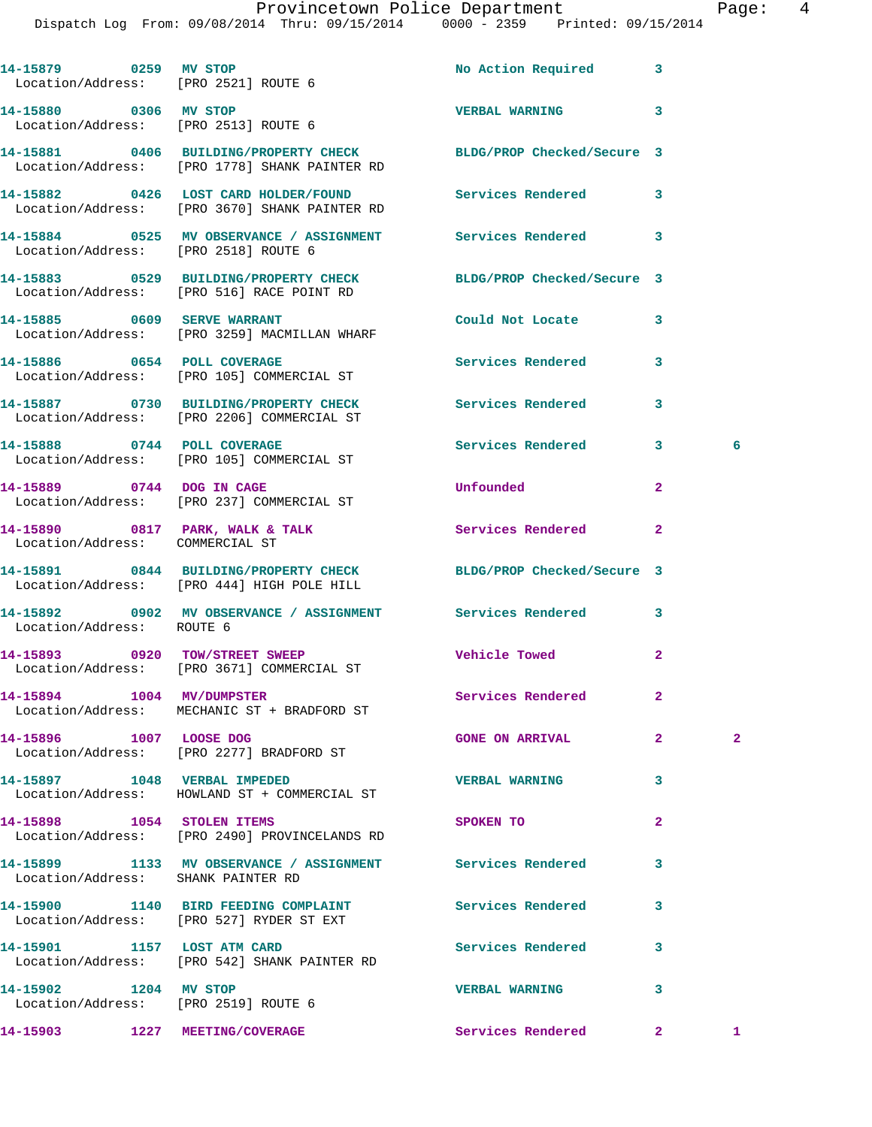|                                                               | 14-15879 0259 MV STOP<br>Location/Address: [PRO 2521] ROUTE 6                                                     | No Action Required       | 3              |              |
|---------------------------------------------------------------|-------------------------------------------------------------------------------------------------------------------|--------------------------|----------------|--------------|
| 14-15880 0306 MV STOP                                         | Location/Address: [PRO 2513] ROUTE 6                                                                              | <b>VERBAL WARNING</b>    | 3              |              |
|                                                               | 14-15881 0406 BUILDING/PROPERTY CHECK BLDG/PROP Checked/Secure 3<br>Location/Address: [PRO 1778] SHANK PAINTER RD |                          |                |              |
|                                                               | 14-15882 0426 LOST CARD HOLDER/FOUND<br>Location/Address: [PRO 3670] SHANK PAINTER RD                             | <b>Services Rendered</b> | 3              |              |
|                                                               | 14-15884 0525 MV OBSERVANCE / ASSIGNMENT Services Rendered<br>Location/Address: [PRO 2518] ROUTE 6                |                          | 3              |              |
|                                                               | 14-15883 0529 BUILDING/PROPERTY CHECK BLDG/PROP Checked/Secure 3<br>Location/Address: [PRO 516] RACE POINT RD     |                          |                |              |
|                                                               | 14-15885 0609 SERVE WARRANT<br>Location/Address: [PRO 3259] MACMILLAN WHARF                                       | Could Not Locate         | 3              |              |
|                                                               | 14-15886 0654 POLL COVERAGE<br>Location/Address: [PRO 105] COMMERCIAL ST                                          | Services Rendered        | 3              |              |
|                                                               | 14-15887 0730 BUILDING/PROPERTY CHECK Services Rendered<br>Location/Address: [PRO 2206] COMMERCIAL ST             |                          | 3              |              |
| 14-15888 0744 POLL COVERAGE                                   | Location/Address: [PRO 105] COMMERCIAL ST                                                                         | Services Rendered        | 3              | 6            |
|                                                               | 14-15889 0744 DOG IN CAGE<br>Location/Address: [PRO 237] COMMERCIAL ST                                            | <b>Unfounded</b>         | 2              |              |
| Location/Address: COMMERCIAL ST                               | 14-15890 0817 PARK, WALK & TALK 1988 Services Rendered                                                            |                          | $\mathbf{2}$   |              |
|                                                               | 14-15891 0844 BUILDING/PROPERTY CHECK BLDG/PROP Checked/Secure 3<br>Location/Address: [PRO 444] HIGH POLE HILL    |                          |                |              |
| Location/Address: ROUTE 6                                     | 14-15892 0902 MV OBSERVANCE / ASSIGNMENT Services Rendered                                                        |                          | 3              |              |
|                                                               | 14-15893 0920 TOW/STREET SWEEP<br>Location/Address: [PRO 3671] COMMERCIAL ST                                      | <b>Vehicle Towed</b>     | $\mathbf{2}$   |              |
| 14-15894 1004 MV/DUMPSTER                                     | Location/Address: MECHANIC ST + BRADFORD ST                                                                       | Services Rendered        | 2              |              |
| 14-15896 1007 LOOSE DOG                                       | Location/Address: [PRO 2277] BRADFORD ST                                                                          | <b>GONE ON ARRIVAL</b>   | $\mathbf{2}$   | $\mathbf{2}$ |
| 14-15897 1048 VERBAL IMPEDED                                  | Location/Address: HOWLAND ST + COMMERCIAL ST                                                                      | <b>VERBAL WARNING</b>    | 3              |              |
|                                                               | 14-15898 1054 STOLEN ITEMS<br>Location/Address: [PRO 2490] PROVINCELANDS RD                                       | SPOKEN TO                | $\mathbf{2}$   |              |
| Location/Address: SHANK PAINTER RD                            | 14-15899 1133 MV OBSERVANCE / ASSIGNMENT Services Rendered                                                        |                          | 3              |              |
|                                                               | 14-15900 1140 BIRD FEEDING COMPLAINT Services Rendered<br>Location/Address: [PRO 527] RYDER ST EXT                |                          | 3              |              |
| 14-15901 1157 LOST ATM CARD                                   | Location/Address: [PRO 542] SHANK PAINTER RD                                                                      | Services Rendered        | 3              |              |
| 14-15902 1204 MV STOP<br>Location/Address: [PRO 2519] ROUTE 6 |                                                                                                                   | <b>VERBAL WARNING</b>    | 3              |              |
| 14-15903 1227 MEETING/COVERAGE                                |                                                                                                                   | Services Rendered        | $\mathbf{2}^-$ | $\mathbf{1}$ |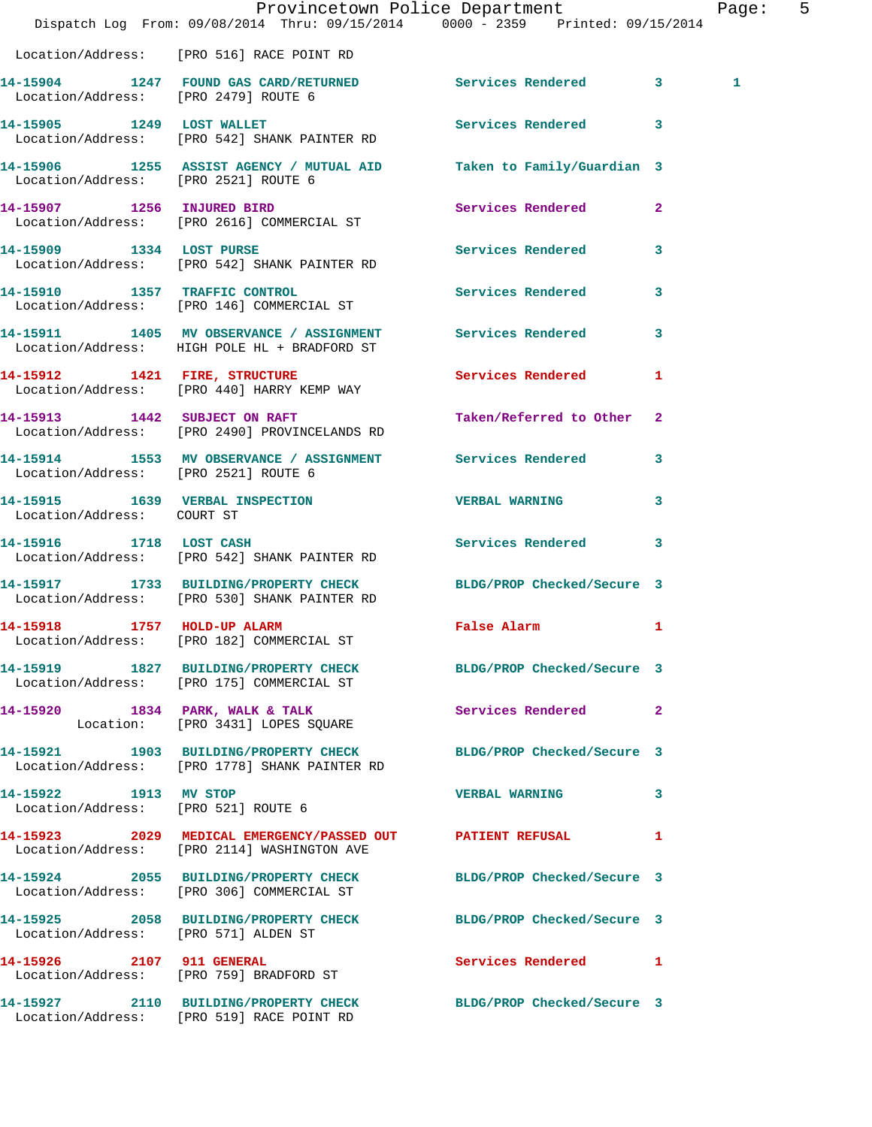|                                      | Dispatch Log From: 09/08/2014 Thru: 09/15/2014 0000 - 2359 Printed: 09/15/2014                                | Provincetown Police Department |              | Page: 5      |  |
|--------------------------------------|---------------------------------------------------------------------------------------------------------------|--------------------------------|--------------|--------------|--|
|                                      | Location/Address: [PRO 516] RACE POINT RD                                                                     |                                |              |              |  |
| Location/Address: [PRO 2479] ROUTE 6 | 14-15904 1247 FOUND GAS CARD/RETURNED Services Rendered 3                                                     |                                |              | $\mathbf{1}$ |  |
|                                      | 14-15905 1249 LOST WALLET<br>Location/Address: [PRO 542] SHANK PAINTER RD                                     | Services Rendered 3            |              |              |  |
| Location/Address: [PRO 2521] ROUTE 6 | 14-15906 1255 ASSIST AGENCY / MUTUAL AID Taken to Family/Guardian 3                                           |                                |              |              |  |
|                                      | 14-15907 1256 INJURED BIRD<br>Location/Address: [PRO 2616] COMMERCIAL ST                                      | Services Rendered 2            |              |              |  |
|                                      | 14-15909 1334 LOST PURSE<br>Location/Address: [PRO 542] SHANK PAINTER RD                                      | Services Rendered 3            |              |              |  |
|                                      | 14-15910 1357 TRAFFIC CONTROL<br>Location/Address: [PRO 146] COMMERCIAL ST                                    | <b>Services Rendered</b>       | $\mathbf{3}$ |              |  |
|                                      | 14-15911 1405 MV OBSERVANCE / ASSIGNMENT Services Rendered 3<br>Location/Address: HIGH POLE HL + BRADFORD ST  |                                |              |              |  |
|                                      | 14-15912 1421 FIRE, STRUCTURE<br>Location/Address: [PRO 440] HARRY KEMP WAY                                   | Services Rendered 1            |              |              |  |
|                                      | 14-15913 1442 SUBJECT ON RAFT<br>Location/Address: [PRO 2490] PROVINCELANDS RD                                | Taken/Referred to Other 2      |              |              |  |
| Location/Address: [PRO 2521] ROUTE 6 | 14-15914 1553 MV OBSERVANCE / ASSIGNMENT Services Rendered 3                                                  |                                |              |              |  |
| Location/Address: COURT ST           | 14-15915 1639 VERBAL INSPECTION TERBAL WARNING                                                                |                                | 3            |              |  |
| 14-15916 1718 LOST CASH              | Location/Address: [PRO 542] SHANK PAINTER RD                                                                  | Services Rendered 3            |              |              |  |
|                                      | 14-15917 1733 BUILDING/PROPERTY CHECK<br>Location/Address: [PRO 530] SHANK PAINTER RD                         | BLDG/PROP Checked/Secure 3     |              |              |  |
| 14-15918 1757 HOLD-UP ALARM          | Location/Address: [PRO 182] COMMERCIAL ST                                                                     | False Alarm                    | 1            |              |  |
|                                      | 14-15919 1827 BUILDING/PROPERTY CHECK BLDG/PROP Checked/Secure 3<br>Location/Address: [PRO 175] COMMERCIAL ST |                                |              |              |  |
|                                      | 14-15920 1834 PARK, WALK & TALK<br>Location: [PRO 3431] LOPES SQUARE                                          | Services Rendered 2            |              |              |  |
|                                      | 14-15921 1903 BUILDING/PROPERTY CHECK<br>Location/Address: [PRO 1778] SHANK PAINTER RD                        | BLDG/PROP Checked/Secure 3     |              |              |  |
| 14-15922 1913 MV STOP                | Location/Address: [PRO 521] ROUTE 6                                                                           | <b>VERBAL WARNING</b>          | 3            |              |  |
|                                      | 14-15923 2029 MEDICAL EMERGENCY/PASSED OUT PATIENT REFUSAL 1<br>Location/Address: [PRO 2114] WASHINGTON AVE   |                                |              |              |  |
|                                      | 14-15924 2055 BUILDING/PROPERTY CHECK BLDG/PROP Checked/Secure 3<br>Location/Address: [PRO 306] COMMERCIAL ST |                                |              |              |  |
| Location/Address: [PRO 571] ALDEN ST | 14-15925 2058 BUILDING/PROPERTY CHECK BLDG/PROP Checked/Secure 3                                              |                                |              |              |  |
| 14-15926 2107 911 GENERAL            | Location/Address: [PRO 759] BRADFORD ST                                                                       | Services Rendered 1            |              |              |  |
|                                      | 14-15927 2110 BUILDING/PROPERTY CHECK<br>Location/Address: [PRO 519] RACE POINT RD                            | BLDG/PROP Checked/Secure 3     |              |              |  |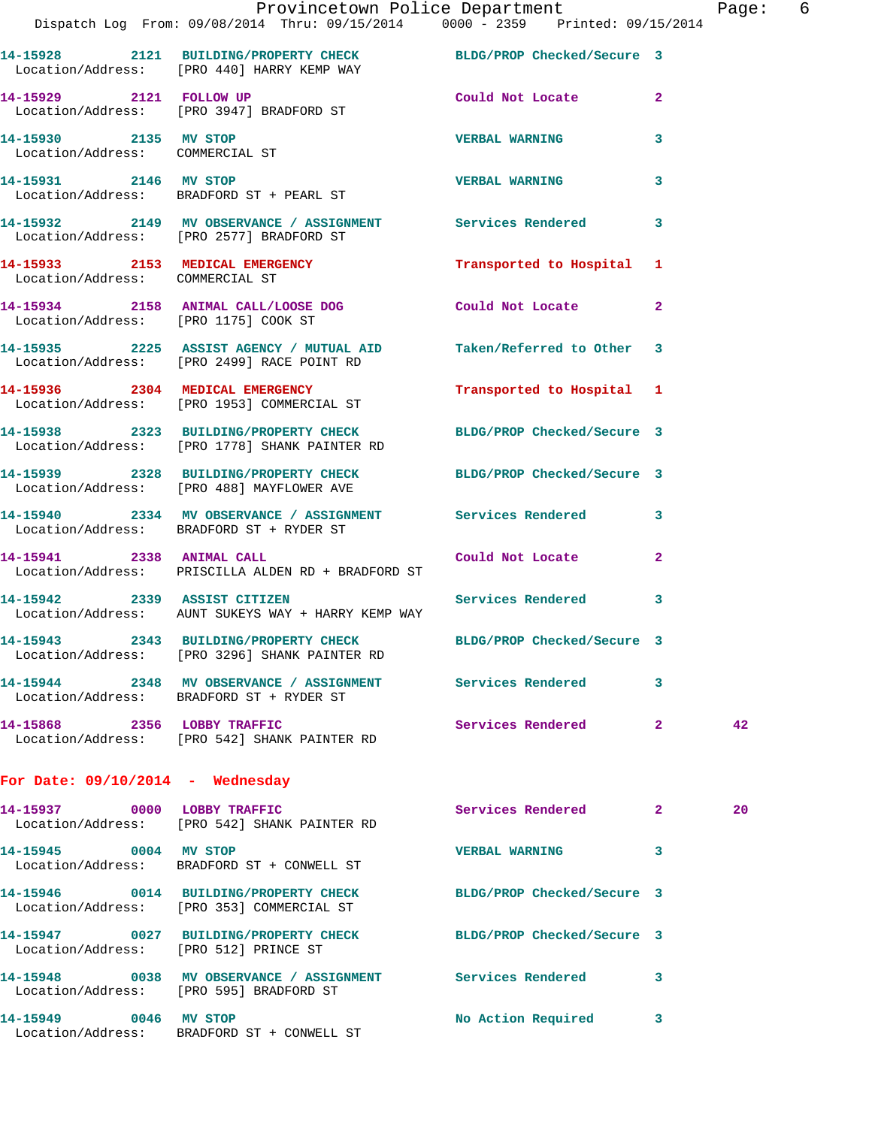|                                       | Dispatch Log From: 09/08/2014 Thru: 09/15/2014 0000 - 2359 Printed: 09/15/2014                                    | Provincetown Police Department |              | Page: 6 |  |
|---------------------------------------|-------------------------------------------------------------------------------------------------------------------|--------------------------------|--------------|---------|--|
|                                       | 14-15928 2121 BUILDING/PROPERTY CHECK BLDG/PROP Checked/Secure 3<br>Location/Address: [PRO 440] HARRY KEMP WAY    |                                |              |         |  |
|                                       | 14-15929 2121 FOLLOW UP Could Not Locate 2<br>Location/Address: [PRO 3947] BRADFORD ST                            |                                |              |         |  |
|                                       | 14-15930 2135 MV STOP<br>Location/Address: COMMERCIAL ST                                                          | <b>VERBAL WARNING</b>          | $\mathbf{3}$ |         |  |
|                                       | 14-15931 2146 MV STOP<br>Location/Address: BRADFORD ST + PEARL ST                                                 | <b>VERBAL WARNING</b>          | 3            |         |  |
|                                       | 14-15932 2149 MV OBSERVANCE / ASSIGNMENT Services Rendered 3<br>Location/Address: [PRO 2577] BRADFORD ST          |                                |              |         |  |
| Location/Address: COMMERCIAL ST       | 14-15933 2153 MEDICAL EMERGENCY Transported to Hospital 1                                                         |                                |              |         |  |
| Location/Address: [PRO 1175] COOK ST  | 14-15934 2158 ANIMAL CALL/LOOSE DOG Could Not Locate 2<br>Location/Address: [PRO 1175] COOK ST                    |                                |              |         |  |
|                                       | 14-15935 2225 ASSIST AGENCY / MUTUAL AID Taken/Referred to Other 3<br>Location/Address: [PRO 2499] RACE POINT RD  |                                |              |         |  |
|                                       | 14-15936 2304 MEDICAL EMERGENCY<br>Location/Address: [PRO 1953] COMMERCIAL ST                                     | Transported to Hospital 1      |              |         |  |
|                                       | 14-15938 2323 BUILDING/PROPERTY CHECK BLDG/PROP Checked/Secure 3<br>Location/Address: [PRO 1778] SHANK PAINTER RD |                                |              |         |  |
|                                       | 14-15939 2328 BUILDING/PROPERTY CHECK BLDG/PROP Checked/Secure 3<br>Location/Address: [PRO 488] MAYFLOWER AVE     |                                |              |         |  |
|                                       | 14-15940 2334 MV OBSERVANCE / ASSIGNMENT Services Rendered 3<br>Location/Address: BRADFORD ST + RYDER ST          |                                |              |         |  |
| 14-15941 2338 ANIMAL CALL             | Location/Address: PRISCILLA ALDEN RD + BRADFORD ST                                                                | Could Not Locate               | $\mathbf{2}$ |         |  |
|                                       | 14-15942 2339 ASSIST CITIZEN 5ervices Rendered 3<br>Location/Address: AUNT SUKEYS WAY + HARRY KEMP WAY            |                                |              |         |  |
|                                       | 14-15943 2343 BUILDING/PROPERTY CHECK<br>Location/Address: [PRO 3296] SHANK PAINTER RD                            | BLDG/PROP Checked/Secure 3     |              |         |  |
|                                       | 14-15944 2348 MV OBSERVANCE / ASSIGNMENT Services Rendered<br>Location/Address: BRADFORD ST + RYDER ST            |                                | $\mathbf{3}$ |         |  |
| 14-15868 2356 LOBBY TRAFFIC           | Location/Address: [PRO 542] SHANK PAINTER RD                                                                      | Services Rendered 2            |              | 42      |  |
| For Date: $09/10/2014$ - Wednesday    |                                                                                                                   |                                |              |         |  |
|                                       | 14-15937 0000 LOBBY TRAFFIC<br>Location/Address: [PRO 542] SHANK PAINTER RD                                       | Services Rendered 2            |              | 20      |  |
| 14-15945 0004 MV STOP                 | Location/Address: BRADFORD ST + CONWELL ST                                                                        | <b>VERBAL WARNING</b>          | 3            |         |  |
|                                       | 14-15946 0014 BUILDING/PROPERTY CHECK BLDG/PROP Checked/Secure 3<br>Location/Address: [PRO 353] COMMERCIAL ST     |                                |              |         |  |
| Location/Address: [PRO 512] PRINCE ST | 14-15947 0027 BUILDING/PROPERTY CHECK                                                                             | BLDG/PROP Checked/Secure 3     |              |         |  |
|                                       | 14-15948 0038 MV OBSERVANCE / ASSIGNMENT Services Rendered 3                                                      |                                |              |         |  |

Location/Address: [PRO 595] BRADFORD ST

**14-15949 0046 MV STOP No Action Required 3**  Location/Address: BRADFORD ST + CONWELL ST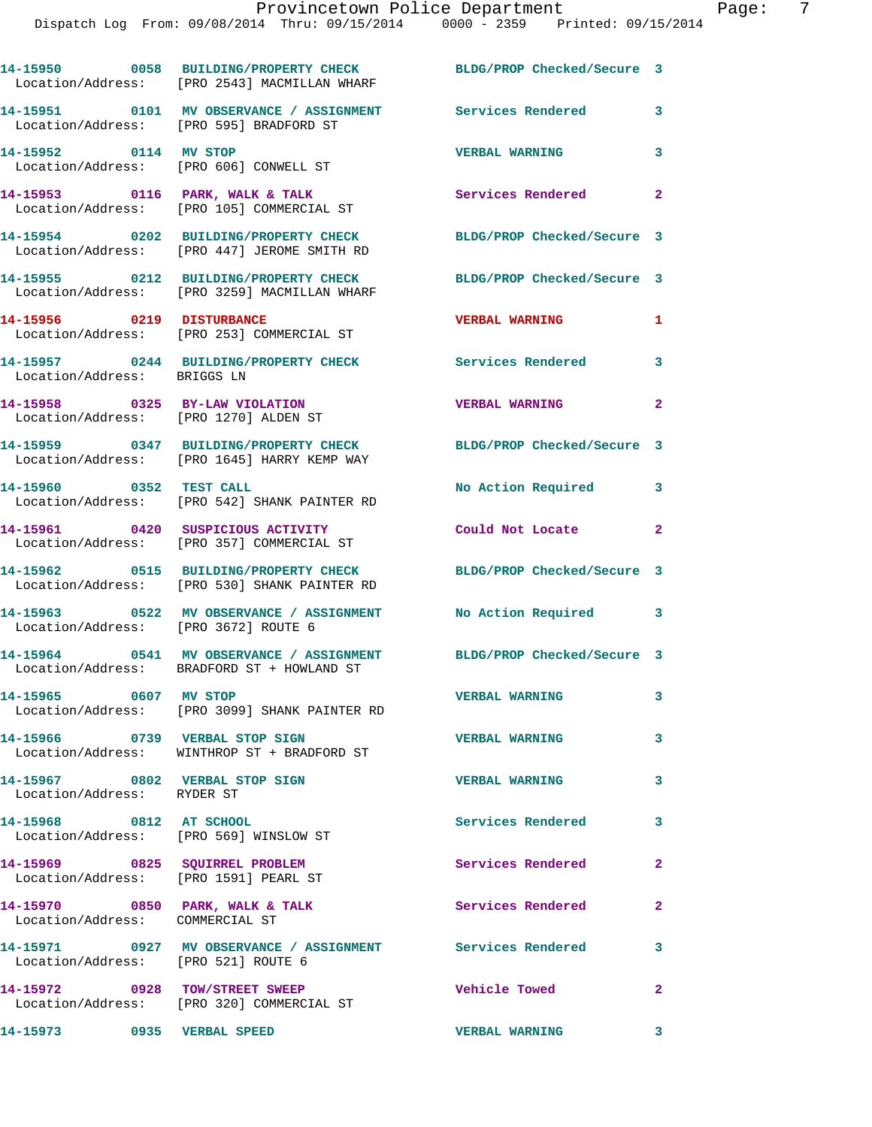|                                                                         | 14-15950 0058 BUILDING/PROPERTY CHECK<br>Location/Address: [PRO 2543] MACMILLAN WHARF                             | BLDG/PROP Checked/Secure 3 |                            |
|-------------------------------------------------------------------------|-------------------------------------------------------------------------------------------------------------------|----------------------------|----------------------------|
|                                                                         | 14-15951 0101 MV OBSERVANCE / ASSIGNMENT Services Rendered<br>Location/Address: [PRO 595] BRADFORD ST             |                            | 3                          |
| 14-15952 0114 MV STOP                                                   | Location/Address: [PRO 606] CONWELL ST                                                                            | <b>VERBAL WARNING</b>      | 3                          |
|                                                                         | 14-15953 0116 PARK, WALK & TALK<br>Location/Address: [PRO 105] COMMERCIAL ST                                      | Services Rendered          | $\overline{\mathbf{2}}$    |
|                                                                         | 14-15954 0202 BUILDING/PROPERTY CHECK<br>Location/Address: [PRO 447] JEROME SMITH RD                              | BLDG/PROP Checked/Secure 3 |                            |
|                                                                         | 14-15955 0212 BUILDING/PROPERTY CHECK<br>Location/Address: [PRO 3259] MACMILLAN WHARF                             | BLDG/PROP Checked/Secure 3 |                            |
| 14-15956 0219 DISTURBANCE                                               | Location/Address: [PRO 253] COMMERCIAL ST                                                                         | <b>VERBAL WARNING</b>      | $\mathbf{1}$               |
| Location/Address: BRIGGS LN                                             | 14-15957 0244 BUILDING/PROPERTY CHECK Services Rendered                                                           |                            | 3                          |
| Location/Address: [PRO 1270] ALDEN ST                                   | 14-15958 0325 BY-LAW VIOLATION                                                                                    | <b>VERBAL WARNING 2</b>    |                            |
|                                                                         | 14-15959 0347 BUILDING/PROPERTY CHECK<br>Location/Address: [PRO 1645] HARRY KEMP WAY                              | BLDG/PROP Checked/Secure 3 |                            |
| 14-15960 0352 TEST CALL                                                 | Location/Address: [PRO 542] SHANK PAINTER RD                                                                      | No Action Required 3       |                            |
|                                                                         | 14-15961 0420 SUSPICIOUS ACTIVITY<br>Location/Address: [PRO 357] COMMERCIAL ST                                    | Could Not Locate           | $\mathbf{2}$               |
|                                                                         | 14-15962 0515 BUILDING/PROPERTY CHECK<br>Location/Address: [PRO 530] SHANK PAINTER RD                             | BLDG/PROP Checked/Secure 3 |                            |
| Location/Address: [PRO 3672] ROUTE 6                                    | 14-15963 0522 MV OBSERVANCE / ASSIGNMENT                                                                          | No Action Required 3       |                            |
|                                                                         | 14-15964 0541 MV OBSERVANCE / ASSIGNMENT BLDG/PROP Checked/Secure 3<br>Location/Address: BRADFORD ST + HOWLAND ST |                            |                            |
| 14-15965 0607 MV STOP                                                   | Location/Address: [PRO 3099] SHANK PAINTER RD                                                                     | <b>VERBAL WARNING</b>      | 3                          |
| 14-15966 0739 VERBAL STOP SIGN                                          | Location/Address: WINTHROP ST + BRADFORD ST                                                                       | <b>VERBAL WARNING</b>      | $\mathbf{3}$               |
| 14-15967 0802 VERBAL STOP SIGN<br>Location/Address: RYDER ST            |                                                                                                                   | <b>VERBAL WARNING</b>      | 3                          |
| 14-15968 0812 AT SCHOOL                                                 | Location/Address: [PRO 569] WINSLOW ST                                                                            | Services Rendered 3        |                            |
| 14-15969 0825 SQUIRREL PROBLEM<br>Location/Address: [PRO 1591] PEARL ST |                                                                                                                   | Services Rendered          | $\mathbf{2}$               |
| 14-15970 0850 PARK, WALK & TALK<br>Location/Address: COMMERCIAL ST      |                                                                                                                   | Services Rendered          | $\mathbf{2}$               |
| Location/Address: [PRO 521] ROUTE 6                                     | 14-15971 0927 MV OBSERVANCE / ASSIGNMENT Services Rendered                                                        |                            | 3                          |
|                                                                         | 14-15972 0928 TOW/STREET SWEEP<br>Location/Address: [PRO 320] COMMERCIAL ST                                       | <b>Vehicle Towed</b>       | $\mathbf{2}$               |
| 14-15973 0935 VERBAL SPEED                                              |                                                                                                                   | <b>VERBAL WARNING</b>      | $\overline{\phantom{a}}$ 3 |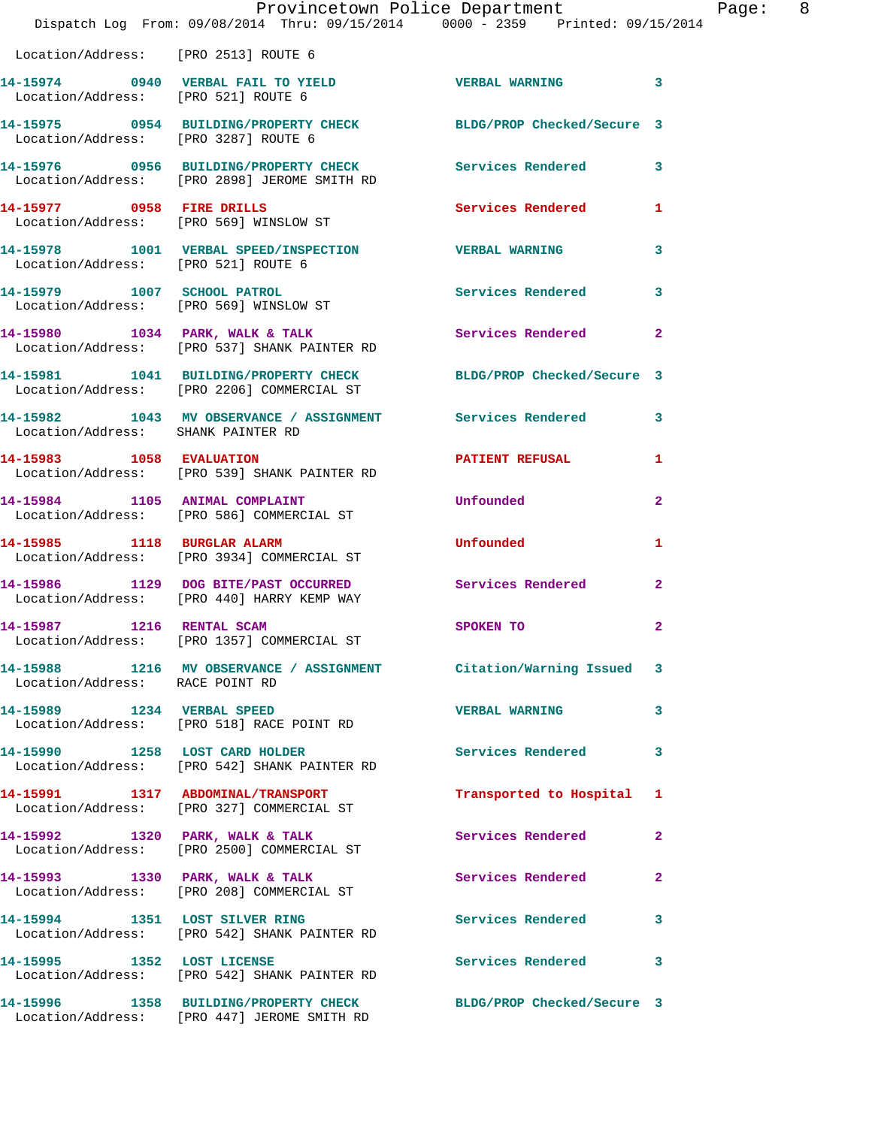|                                      | Provincetown Police Department<br>Dispatch Log From: 09/08/2014 Thru: 09/15/2014 0000 - 2359 Printed: 09/15/2014 |                           | Page: 8        |
|--------------------------------------|------------------------------------------------------------------------------------------------------------------|---------------------------|----------------|
| Location/Address: [PRO 2513] ROUTE 6 |                                                                                                                  |                           |                |
| Location/Address: [PRO 521] ROUTE 6  | 14-15974 0940 VERBAL FAIL TO YIELD CHERRAL WARNING 3                                                             |                           |                |
| Location/Address: [PRO 3287] ROUTE 6 | 14-15975 0954 BUILDING/PROPERTY CHECK BLDG/PROP Checked/Secure 3                                                 |                           |                |
|                                      | 14-15976 0956 BUILDING/PROPERTY CHECK Services Rendered 3<br>Location/Address: [PRO 2898] JEROME SMITH RD        |                           |                |
|                                      |                                                                                                                  | Services Rendered 1       |                |
| Location/Address: [PRO 521] ROUTE 6  | 14-15978 1001 VERBAL SPEED/INSPECTION VERBAL WARNING                                                             |                           | 3              |
|                                      | 14-15979 1007 SCHOOL PATROL<br>Location/Address: [PRO 569] WINSLOW ST                                            | Services Rendered 3       |                |
|                                      | 14-15980 1034 PARK, WALK & TALK 1988 Services Rendered 2<br>Location/Address: [PRO 537] SHANK PAINTER RD         |                           |                |
|                                      | 14-15981 1041 BUILDING/PROPERTY CHECK BLDG/PROP Checked/Secure 3<br>Location/Address: [PRO 2206] COMMERCIAL ST   |                           |                |
|                                      | 14-15982 1043 MV OBSERVANCE / ASSIGNMENT Services Rendered 3<br>Location/Address: SHANK PAINTER RD               |                           |                |
|                                      |                                                                                                                  | PATIENT REFUSAL           | $\mathbf{1}$   |
|                                      | 14-15984 1105 ANIMAL COMPLAINT<br>Location/Address: [PRO 586] COMMERCIAL ST                                      | Unfounded                 | $\overline{2}$ |
|                                      | 14-15985 1118 BURGLAR ALARM<br>Location/Address: [PRO 3934] COMMERCIAL ST                                        | Unfounded                 | 1              |
|                                      | 14-15986 1129 DOG BITE/PAST OCCURRED Services Rendered 2<br>Location/Address: [PRO 440] HARRY KEMP WAY           |                           |                |
| 14-15987 1216 RENTAL SCAM            | Location/Address: [PRO 1357] COMMERCIAL ST                                                                       | SPOKEN TO                 | $\overline{2}$ |
| Location/Address: RACE POINT RD      | 14-15988 1216 MV OBSERVANCE / ASSIGNMENT Citation/Warning Issued 3                                               |                           |                |
|                                      | 14-15989 1234 VERBAL SPEED<br>Location/Address: [PRO 518] RACE POINT RD                                          | <b>VERBAL WARNING</b>     | 3              |
|                                      | 14-15990 1258 LOST CARD HOLDER<br>Location/Address: [PRO 542] SHANK PAINTER RD                                   | Services Rendered         | 3              |
|                                      | 14-15991 1317 ABDOMINAL/TRANSPORT<br>Location/Address: [PRO 327] COMMERCIAL ST                                   | Transported to Hospital 1 |                |
|                                      | 14-15992 1320 PARK, WALK & TALK<br>Location/Address: [PRO 2500] COMMERCIAL ST                                    | <b>Services Rendered</b>  | $\mathbf{2}$   |
|                                      | 14-15993 1330 PARK, WALK & TALK<br>Location/Address: [PRO 208] COMMERCIAL ST                                     | Services Rendered         | $\mathbf{2}$   |
|                                      | 14-15994 1351 LOST SILVER RING<br>Location/Address: [PRO 542] SHANK PAINTER RD                                   | <b>Services Rendered</b>  | $\mathbf{3}$   |
|                                      | 14-15995 1352 LOST LICENSE<br>Location/Address: [PRO 542] SHANK PAINTER RD                                       | Services Rendered         | 3              |
|                                      | 14-15996 1358 BUILDING/PROPERTY CHECK BLDG/PROP Checked/Secure 3                                                 |                           |                |

Location/Address: [PRO 447] JEROME SMITH RD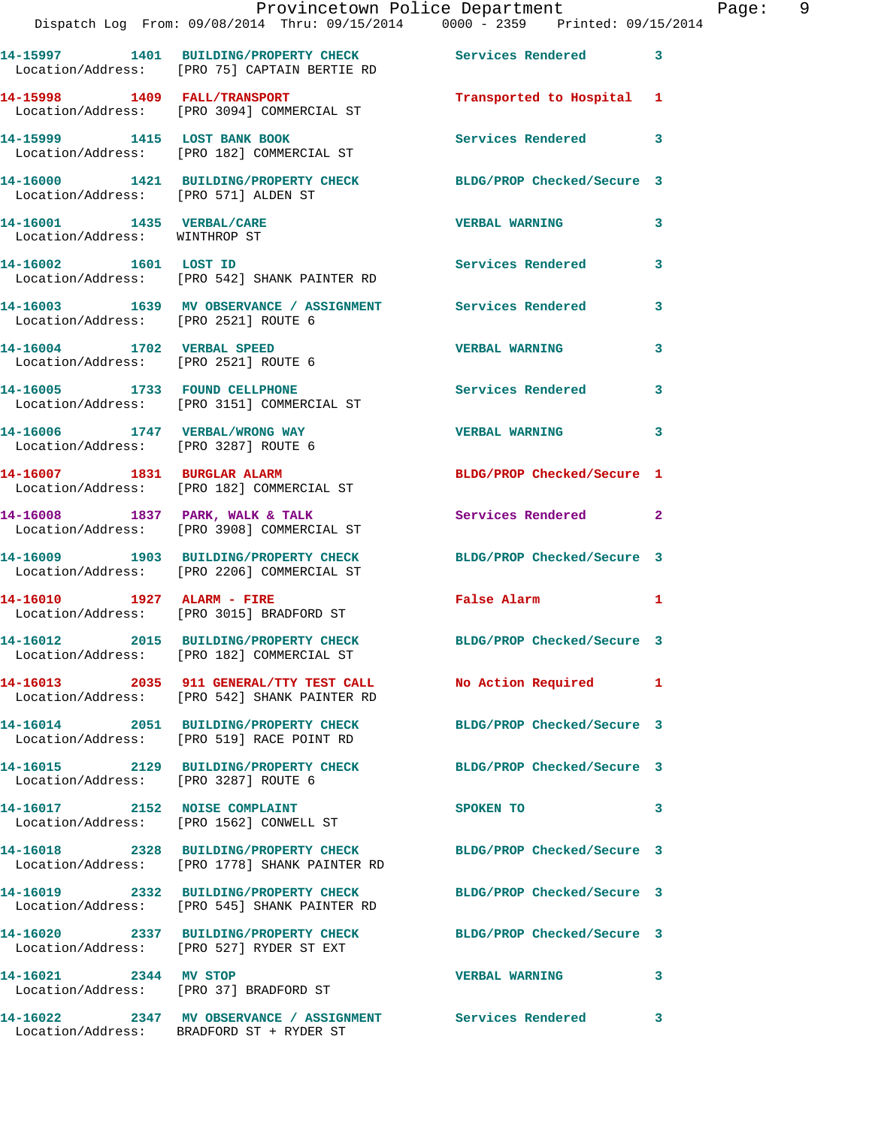|                                                                    | Provincetown Police Department<br>Dispatch Log From: 09/08/2014 Thru: 09/15/2014 0000 - 2359 Printed: 09/15/2014  |                            |                |
|--------------------------------------------------------------------|-------------------------------------------------------------------------------------------------------------------|----------------------------|----------------|
|                                                                    | 14-15997 1401 BUILDING/PROPERTY CHECK Services Rendered<br>Location/Address: [PRO 75] CAPTAIN BERTIE RD           |                            | 3              |
|                                                                    | 14-15998 1409 FALL/TRANSPORT<br>Location/Address: [PRO 3094] COMMERCIAL ST                                        | Transported to Hospital    | 1              |
|                                                                    | 14-15999 1415 LOST BANK BOOK<br>Location/Address: [PRO 182] COMMERCIAL ST                                         | <b>Services Rendered</b>   | 3              |
| Location/Address: [PRO 571] ALDEN ST                               | 14-16000 1421 BUILDING/PROPERTY CHECK BLDG/PROP Checked/Secure 3                                                  |                            |                |
| 14-16001 1435 VERBAL/CARE<br>Location/Address: WINTHROP ST         |                                                                                                                   | <b>VERBAL WARNING</b>      | 3              |
| 14-16002 1601 LOST ID                                              | Location/Address: [PRO 542] SHANK PAINTER RD                                                                      | Services Rendered          | 3              |
|                                                                    | 14-16003   1639 MV OBSERVANCE / ASSIGNMENT   Services Rendered<br>Location/Address: [PRO 2521] ROUTE 6            |                            | 3              |
| 14-16004 1702 VERBAL SPEED<br>Location/Address: [PRO 2521] ROUTE 6 |                                                                                                                   | <b>VERBAL WARNING</b>      | 3              |
|                                                                    | 14-16005 1733 FOUND CELLPHONE<br>Location/Address: [PRO 3151] COMMERCIAL ST                                       | Services Rendered          | 3              |
| Location/Address: [PRO 3287] ROUTE 6                               | 14-16006 1747 VERBAL/WRONG WAY                                                                                    | <b>VERBAL WARNING</b>      | 3              |
|                                                                    | 14-16007 1831 BURGLAR ALARM<br>Location/Address: [PRO 182] COMMERCIAL ST                                          | BLDG/PROP Checked/Secure 1 |                |
|                                                                    | 14-16008 1837 PARK, WALK & TALK<br>Location/Address: [PRO 3908] COMMERCIAL ST                                     | Services Rendered          | $\overline{2}$ |
|                                                                    | 14-16009 1903 BUILDING/PROPERTY CHECK BLDG/PROP Checked/Secure 3<br>Location/Address: [PRO 2206] COMMERCIAL ST    |                            |                |
|                                                                    | 14-16010 1927 ALARM - FIRE<br>Location/Address: [PRO 3015] BRADFORD ST                                            | False Alarm                | 1              |
|                                                                    | 14-16012 2015 BUILDING/PROPERTY CHECK<br>Location/Address: [PRO 182] COMMERCIAL ST                                | BLDG/PROP Checked/Secure 3 |                |
|                                                                    | 14-16013 2035 911 GENERAL/TTY TEST CALL<br>Location/Address: [PRO 542] SHANK PAINTER RD                           | <b>No Action Required</b>  | 1              |
|                                                                    | 14-16014 2051 BUILDING/PROPERTY CHECK<br>Location/Address: [PRO 519] RACE POINT RD                                | BLDG/PROP Checked/Secure 3 |                |
| Location/Address: [PRO 3287] ROUTE 6                               | 14-16015 2129 BUILDING/PROPERTY CHECK BLDG/PROP Checked/Secure 3                                                  |                            |                |
|                                                                    | 14-16017 2152 NOISE COMPLAINT<br>Location/Address: [PRO 1562] CONWELL ST                                          | SPOKEN TO                  | 3              |
|                                                                    | 14-16018 2328 BUILDING/PROPERTY CHECK BLDG/PROP Checked/Secure 3<br>Location/Address: [PRO 1778] SHANK PAINTER RD |                            |                |
|                                                                    | 14-16019 2332 BUILDING/PROPERTY CHECK<br>Location/Address: [PRO 545] SHANK PAINTER RD                             | BLDG/PROP Checked/Secure 3 |                |
|                                                                    | 14-16020 2337 BUILDING/PROPERTY CHECK BLDG/PROP Checked/Secure 3<br>Location/Address: [PRO 527] RYDER ST EXT      |                            |                |
| 14-16021 2344 MV STOP<br>Location/Address: [PRO 37] BRADFORD ST    |                                                                                                                   | <b>VERBAL WARNING</b>      | 3              |
|                                                                    |                                                                                                                   |                            | 3              |

Location/Address: BRADFORD ST + RYDER ST

Page: 9<br>14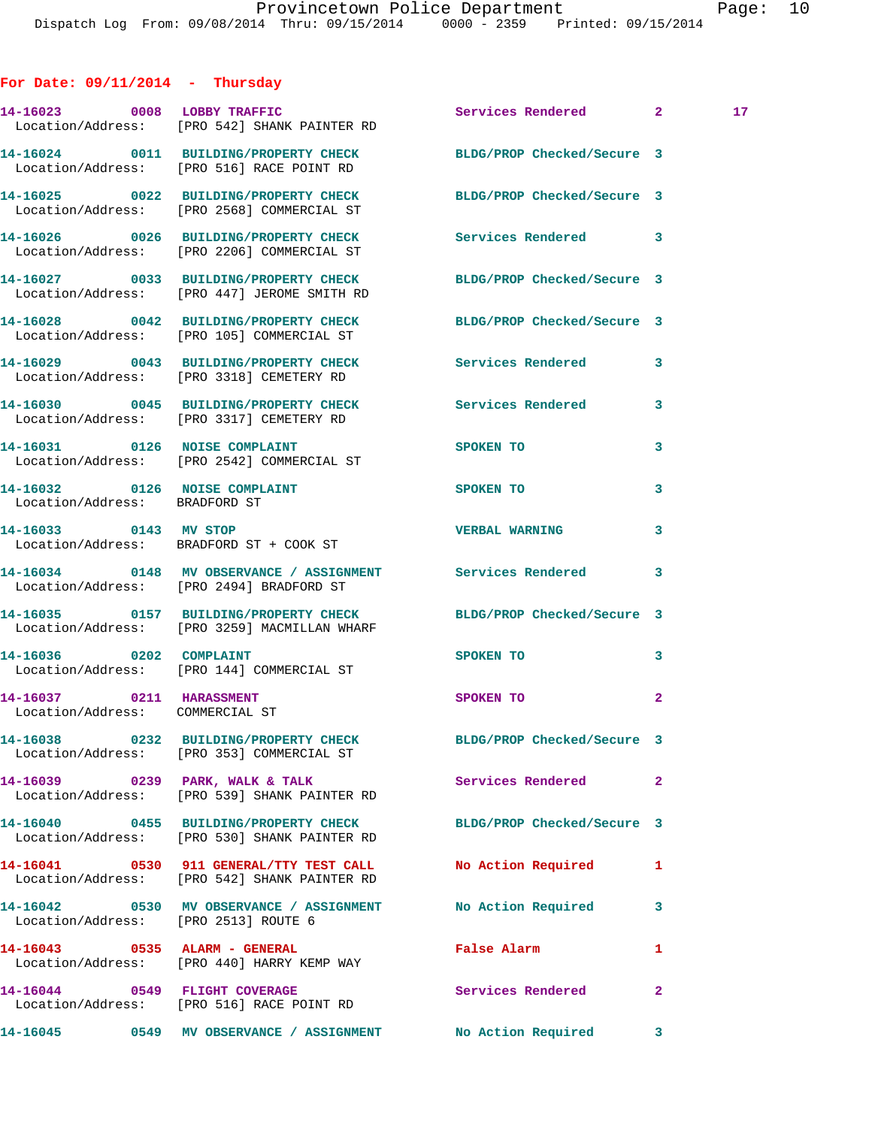|  | For Date: $09/11/2014$ |  |  |  |  | Thursday |
|--|------------------------|--|--|--|--|----------|
|--|------------------------|--|--|--|--|----------|

|                                                             | 14-16023 0008 LOBBY TRAFFIC<br>Location/Address: [PRO 542] SHANK PAINTER RD                                      | Services Rendered 2 17     |                |  |
|-------------------------------------------------------------|------------------------------------------------------------------------------------------------------------------|----------------------------|----------------|--|
|                                                             | 14-16024 0011 BUILDING/PROPERTY CHECK BLDG/PROP Checked/Secure 3<br>Location/Address: [PRO 516] RACE POINT RD    |                            |                |  |
|                                                             | 14-16025 0022 BUILDING/PROPERTY CHECK BLDG/PROP Checked/Secure 3<br>Location/Address: [PRO 2568] COMMERCIAL ST   |                            |                |  |
|                                                             | 14-16026 0026 BUILDING/PROPERTY CHECK Services Rendered 3<br>Location/Address: [PRO 2206] COMMERCIAL ST          |                            |                |  |
|                                                             | 14-16027 0033 BUILDING/PROPERTY CHECK BLDG/PROP Checked/Secure 3<br>Location/Address: [PRO 447] JEROME SMITH RD  |                            |                |  |
|                                                             | 14-16028 0042 BUILDING/PROPERTY CHECK BLDG/PROP Checked/Secure 3<br>Location/Address: [PRO 105] COMMERCIAL ST    |                            |                |  |
|                                                             | 14-16029 0043 BUILDING/PROPERTY CHECK Services Rendered 3<br>Location/Address: [PRO 3318] CEMETERY RD            |                            |                |  |
|                                                             | 14-16030 0045 BUILDING/PROPERTY CHECK Services Rendered<br>Location/Address: [PRO 3317] CEMETERY RD              |                            | 3              |  |
|                                                             | 14-16031 0126 NOISE COMPLAINT<br>Location/Address: [PRO 2542] COMMERCIAL ST                                      | SPOKEN TO                  | 3              |  |
| Location/Address: BRADFORD ST                               | 14-16032 0126 NOISE COMPLAINT                                                                                    | <b>SPOKEN TO</b>           | 3              |  |
|                                                             | 14-16033 0143 MV STOP<br>Location/Address: BRADFORD ST + COOK ST                                                 | <b>VERBAL WARNING</b>      | 3              |  |
|                                                             | 14-16034 0148 MV OBSERVANCE / ASSIGNMENT Services Rendered 3<br>Location/Address: [PRO 2494] BRADFORD ST         |                            |                |  |
|                                                             | 14-16035 0157 BUILDING/PROPERTY CHECK BLDG/PROP Checked/Secure 3<br>Location/Address: [PRO 3259] MACMILLAN WHARF |                            |                |  |
| 14-16036 0202 COMPLAINT                                     | Location/Address: [PRO 144] COMMERCIAL ST                                                                        | SPOKEN TO                  | 3              |  |
| 14-16037 0211 HARASSMENT<br>Location/Address: COMMERCIAL ST |                                                                                                                  | SPOKEN TO                  | $\mathbf{2}$   |  |
| 14-16038                                                    | 0232 BUILDING/PROPERTY CHECK<br>Location/Address: [PRO 353] COMMERCIAL ST                                        | BLDG/PROP Checked/Secure 3 |                |  |
|                                                             | 14-16039 0239 PARK, WALK & TALK<br>Location/Address: [PRO 539] SHANK PAINTER RD                                  | Services Rendered          | $\overline{2}$ |  |
|                                                             | 14-16040 0455 BUILDING/PROPERTY CHECK<br>Location/Address: [PRO 530] SHANK PAINTER RD                            | BLDG/PROP Checked/Secure 3 |                |  |
|                                                             | 14-16041 0530 911 GENERAL/TTY TEST CALL No Action Required<br>Location/Address: [PRO 542] SHANK PAINTER RD       |                            | 1              |  |
|                                                             | 14-16042 0530 MV OBSERVANCE / ASSIGNMENT No Action Required<br>Location/Address: [PRO 2513] ROUTE 6              |                            | 3              |  |
|                                                             | 14-16043 0535 ALARM - GENERAL<br>Location/Address: [PRO 440] HARRY KEMP WAY                                      | False Alarm                | 1              |  |
|                                                             | 14-16044 0549 FLIGHT COVERAGE<br>Location/Address: [PRO 516] RACE POINT RD                                       | <b>Services Rendered</b>   | $\overline{a}$ |  |
|                                                             | 14-16045 0549 MV OBSERVANCE / ASSIGNMENT No Action Required                                                      |                            | 3              |  |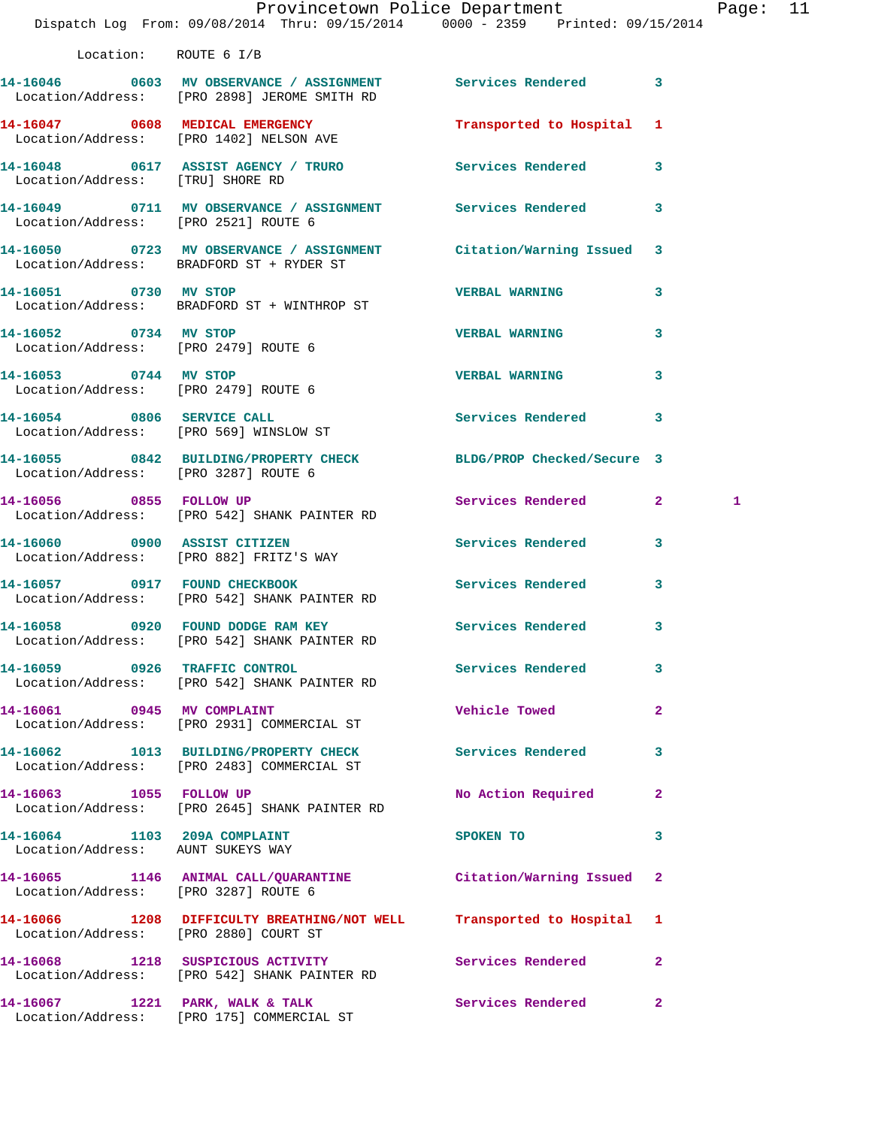|                                                                   | Dispatch Log From: 09/08/2014 Thru: 09/15/2014 0000 - 2359 Printed: 09/15/2014                                 | Provincetown Police Department |                | Page: 11 |  |
|-------------------------------------------------------------------|----------------------------------------------------------------------------------------------------------------|--------------------------------|----------------|----------|--|
| Location: ROUTE 6 I/B                                             |                                                                                                                |                                |                |          |  |
|                                                                   | 14-16046 0603 MV OBSERVANCE / ASSIGNMENT Services Rendered 3<br>Location/Address: [PRO 2898] JEROME SMITH RD   |                                |                |          |  |
|                                                                   | 14-16047 0608 MEDICAL EMERGENCY<br>Location/Address: [PRO 1402] NELSON AVE                                     | Transported to Hospital 1      |                |          |  |
| Location/Address: [TRU] SHORE RD                                  | 14-16048 0617 ASSIST AGENCY / TRURO Services Rendered 3                                                        |                                |                |          |  |
| Location/Address: [PRO 2521] ROUTE 6                              | 14-16049 0711 MV OBSERVANCE / ASSIGNMENT Services Rendered                                                     |                                | 3              |          |  |
|                                                                   | 14-16050 0723 MV OBSERVANCE / ASSIGNMENT Citation/Warning Issued 3<br>Location/Address: BRADFORD ST + RYDER ST |                                |                |          |  |
|                                                                   | 14-16051 0730 MV STOP<br>Location/Address: BRADFORD ST + WINTHROP ST                                           | <b>VERBAL WARNING</b>          | 3              |          |  |
| 14-16052 0734 MV STOP<br>Location/Address: [PRO 2479] ROUTE 6     |                                                                                                                | <b>VERBAL WARNING</b>          | 3              |          |  |
| 14-16053 0744 MV STOP<br>Location/Address: [PRO 2479] ROUTE 6     |                                                                                                                | <b>VERBAL WARNING</b>          | 3              |          |  |
| Location/Address: [PRO 569] WINSLOW ST                            | 14-16054 0806 SERVICE CALL                                                                                     | Services Rendered              | 3              |          |  |
| Location/Address: [PRO 3287] ROUTE 6                              | 14-16055 0842 BUILDING/PROPERTY CHECK BLDG/PROP Checked/Secure 3                                               |                                |                |          |  |
|                                                                   | 14-16056 0855 FOLLOW UP<br>Location/Address: [PRO 542] SHANK PAINTER RD                                        | Services Rendered              | $\mathbf{2}$   | 1        |  |
|                                                                   | 14-16060 0900 ASSIST CITIZEN<br>Location/Address: [PRO 882] FRITZ'S WAY                                        | Services Rendered 3            |                |          |  |
|                                                                   | 14-16057 0917 FOUND CHECKBOOK<br>Location/Address: [PRO 542] SHANK PAINTER RD                                  | <b>Services Rendered</b>       | 3              |          |  |
|                                                                   | 14-16058 0920 FOUND DODGE RAM KEY<br>Location/Address: [PRO 542] SHANK PAINTER RD                              | Services Rendered              | $\mathbf{3}$   |          |  |
|                                                                   | 14-16059 0926 TRAFFIC CONTROL Services Rendered<br>Location/Address: [PRO 542] SHANK PAINTER RD                |                                | 3              |          |  |
|                                                                   | 14-16061 0945 MV COMPLAINT<br>Location/Address: [PRO 2931] COMMERCIAL ST                                       | Vehicle Towed <b>Seat 1996</b> | $\overline{2}$ |          |  |
|                                                                   | 14-16062 1013 BUILDING/PROPERTY CHECK Services Rendered<br>Location/Address: [PRO 2483] COMMERCIAL ST          |                                | 3              |          |  |
|                                                                   | 14-16063 1055 FOLLOW UP<br>Location/Address: [PRO 2645] SHANK PAINTER RD                                       | No Action Required             | $\mathbf{2}$   |          |  |
| 14-16064 1103 209A COMPLAINT<br>Location/Address: AUNT SUKEYS WAY |                                                                                                                | SPOKEN TO                      | 3              |          |  |
| Location/Address: [PRO 3287] ROUTE 6                              | 14-16065 1146 ANIMAL CALL/QUARANTINE Citation/Warning Issued 2                                                 |                                |                |          |  |
| Location/Address: [PRO 2880] COURT ST                             | 14-16066 1208 DIFFICULTY BREATHING/NOT WELL Transported to Hospital 1                                          |                                |                |          |  |
|                                                                   | 14-16068 1218 SUSPICIOUS ACTIVITY<br>Location/Address: [PRO 542] SHANK PAINTER RD                              | <b>Services Rendered</b>       | $\mathbf{2}$   |          |  |
|                                                                   | 14-16067 1221 PARK, WALK & TALK<br>Location/Address: [PRO 175] COMMERCIAL ST                                   | Services Rendered              | $\mathbf{2}$   |          |  |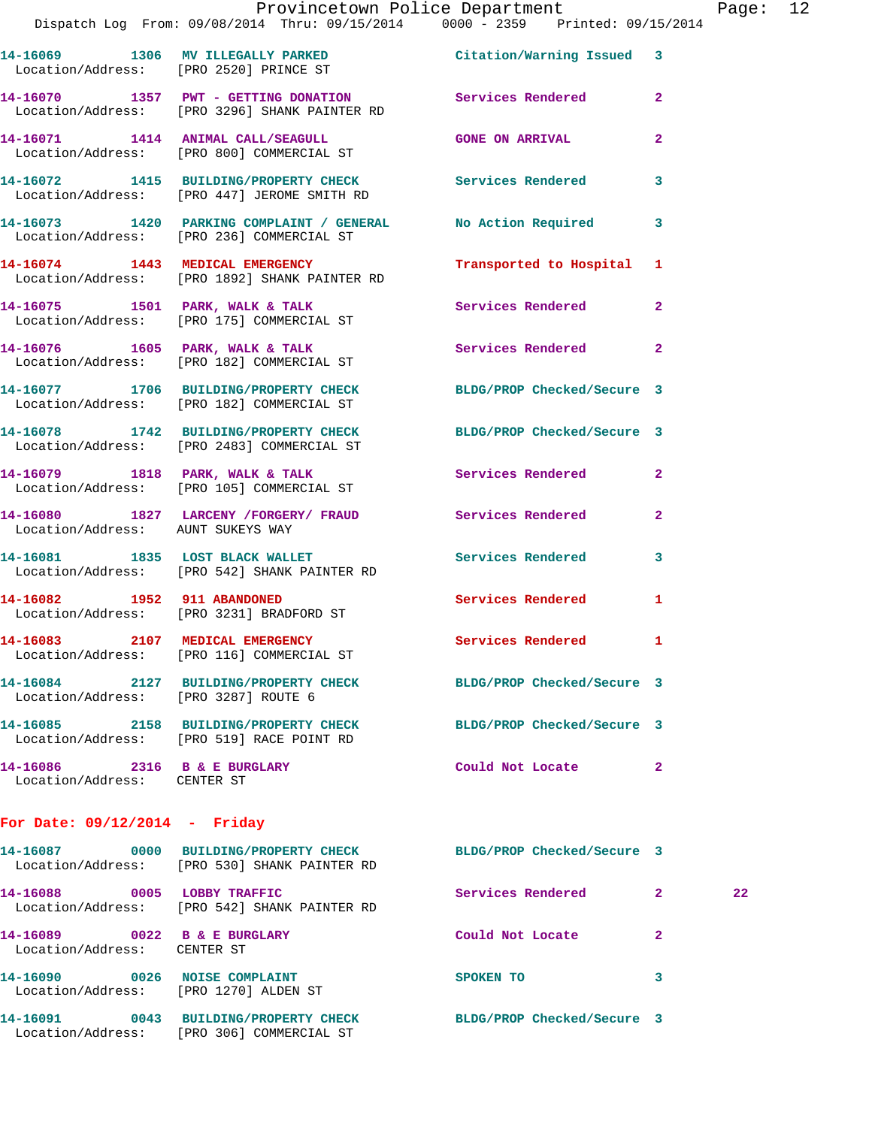|                                                             | Dispatch Log From: 09/08/2014 Thru: 09/15/2014 0000 - 2359 Printed: 09/15/2014                                |                            |                |
|-------------------------------------------------------------|---------------------------------------------------------------------------------------------------------------|----------------------------|----------------|
|                                                             | 14-16069 1306 MV ILLEGALLY PARKED<br>Location/Address: [PRO 2520] PRINCE ST                                   | Citation/Warning Issued    | 3              |
|                                                             | 14-16070 1357 PWT - GETTING DONATION<br>Location/Address: [PRO 3296] SHANK PAINTER RD                         | Services Rendered          | $\overline{2}$ |
|                                                             | 14-16071 1414 ANIMAL CALL/SEAGULL<br>Location/Address: [PRO 800] COMMERCIAL ST                                | <b>GONE ON ARRIVAL</b>     | $\mathbf{2}$   |
|                                                             | 14-16072 1415 BUILDING/PROPERTY CHECK<br>Location/Address: [PRO 447] JEROME SMITH RD                          | <b>Services Rendered</b>   | 3              |
|                                                             | 14-16073 1420 PARKING COMPLAINT / GENERAL<br>Location/Address: [PRO 236] COMMERCIAL ST                        | No Action Required         | 3              |
|                                                             | 14-16074 1443 MEDICAL EMERGENCY<br>Location/Address: [PRO 1892] SHANK PAINTER RD                              | Transported to Hospital    | 1              |
|                                                             | 14-16075 1501 PARK, WALK & TALK<br>Location/Address: [PRO 175] COMMERCIAL ST                                  | Services Rendered          | $\overline{2}$ |
|                                                             | 14-16076 1605 PARK, WALK & TALK<br>Location/Address: [PRO 182] COMMERCIAL ST                                  | <b>Services Rendered</b>   | $\overline{2}$ |
|                                                             | 14-16077 1706 BUILDING/PROPERTY CHECK BLDG/PROP Checked/Secure 3<br>Location/Address: [PRO 182] COMMERCIAL ST |                            |                |
|                                                             | 14-16078 1742 BUILDING/PROPERTY CHECK<br>Location/Address: [PRO 2483] COMMERCIAL ST                           | BLDG/PROP Checked/Secure 3 |                |
|                                                             | 14-16079 1818 PARK, WALK & TALK<br>Location/Address: [PRO 105] COMMERCIAL ST                                  | Services Rendered          | $\overline{2}$ |
| Location/Address: AUNT SUKEYS WAY                           | 14-16080 1827 LARCENY /FORGERY/ FRAUD                                                                         | <b>Services Rendered</b>   | $\mathbf{2}$   |
|                                                             | 14-16081 1835 LOST BLACK WALLET<br>Location/Address: [PRO 542] SHANK PAINTER RD                               | Services Rendered          | 3              |
|                                                             | 14-16082 1952 911 ABANDONED<br>Location/Address: [PRO 3231] BRADFORD ST                                       | Services Rendered          | 1              |
| 14-16083 2107 MEDICAL EMERGENCY                             | Location/Address: [PRO 116] COMMERCIAL ST                                                                     | <b>Services Rendered</b>   | 1              |
| Location/Address: [PRO 3287] ROUTE 6                        | 14-16084 2127 BUILDING/PROPERTY CHECK                                                                         | BLDG/PROP Checked/Secure 3 |                |
|                                                             | 14-16085 2158 BUILDING/PROPERTY CHECK<br>Location/Address: [PRO 519] RACE POINT RD                            | BLDG/PROP Checked/Secure 3 |                |
| 14-16086 2316 B & E BURGLARY<br>Location/Address: CENTER ST |                                                                                                               | Could Not Locate           | $\mathbf{2}$   |
| For Date: $09/12/2014$ - Friday                             |                                                                                                               |                            |                |

| 14-16087                              | 0000<br><b>BUILDING/PROPERTY CHECK</b><br>Location/Address: [PRO 530] SHANK PAINTER RD | BLDG/PROP Checked/Secure 3 |   |              |
|---------------------------------------|----------------------------------------------------------------------------------------|----------------------------|---|--------------|
| 0005<br>14-16088                      | LOBBY TRAFFIC<br>Location/Address: [PRO 542] SHANK PAINTER RD                          | Services Rendered          | 2 | $22^{\circ}$ |
| 14-16089<br>Location/Address:         | 0022<br><b>B &amp; E BURGLARY</b><br>CENTER ST                                         | Could Not Locate           | 2 |              |
| 0026<br>14-16090                      | <b>NOISE COMPLAINT</b><br>Location/Address: [PRO 1270] ALDEN ST                        | <b>SPOKEN TO</b>           | 3 |              |
| 14-16091<br>0043<br>Location/Address: | <b>BUILDING/PROPERTY CHECK</b><br>[PRO 306] COMMERCIAL ST                              | BLDG/PROP Checked/Secure 3 |   |              |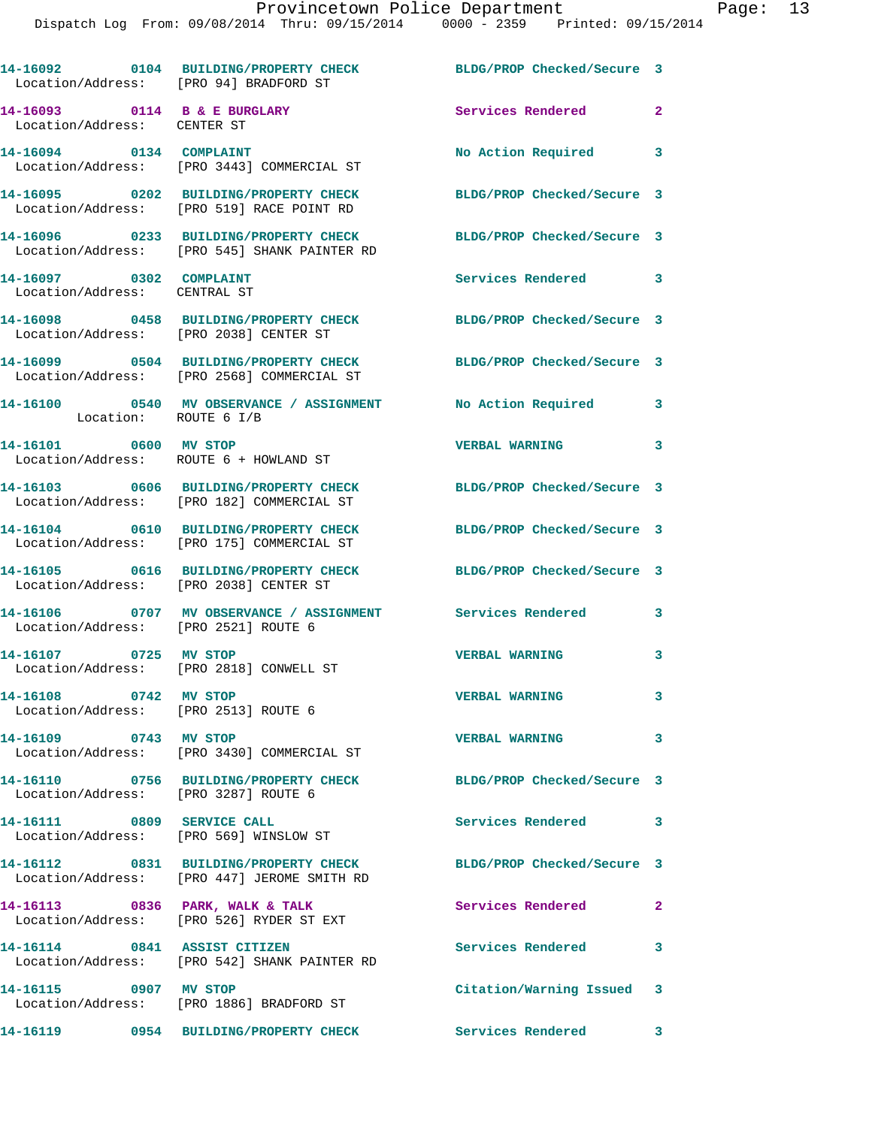| Location/Address: [PRO 94] BRADFORD ST                        | 14-16092 0104 BUILDING/PROPERTY CHECK                                                 | BLDG/PROP Checked/Secure 3 |                         |
|---------------------------------------------------------------|---------------------------------------------------------------------------------------|----------------------------|-------------------------|
| 14-16093 0114 B & E BURGLARY<br>Location/Address: CENTER ST   |                                                                                       | Services Rendered          | $\mathbf{2}$            |
| 14-16094 0134 COMPLAINT                                       | Location/Address: [PRO 3443] COMMERCIAL ST                                            | No Action Required 3       |                         |
|                                                               | 14-16095 0202 BUILDING/PROPERTY CHECK<br>Location/Address: [PRO 519] RACE POINT RD    | BLDG/PROP Checked/Secure 3 |                         |
|                                                               | 14-16096 0233 BUILDING/PROPERTY CHECK<br>Location/Address: [PRO 545] SHANK PAINTER RD | BLDG/PROP Checked/Secure 3 |                         |
| 14-16097 0302 COMPLAINT<br>Location/Address: CENTRAL ST       |                                                                                       | Services Rendered 3        |                         |
| Location/Address: [PRO 2038] CENTER ST                        | 14-16098 0458 BUILDING/PROPERTY CHECK BLDG/PROP Checked/Secure 3                      |                            |                         |
|                                                               | 14-16099 0504 BUILDING/PROPERTY CHECK<br>Location/Address: [PRO 2568] COMMERCIAL ST   | BLDG/PROP Checked/Secure 3 |                         |
| Location: ROUTE 6 I/B                                         | 14-16100 0540 MV OBSERVANCE / ASSIGNMENT No Action Required                           |                            | 3                       |
| 14-16101 0600 MV STOP                                         | Location/Address: ROUTE 6 + HOWLAND ST                                                | <b>VERBAL WARNING</b>      | 3                       |
|                                                               | 14-16103 0606 BUILDING/PROPERTY CHECK<br>Location/Address: [PRO 182] COMMERCIAL ST    | BLDG/PROP Checked/Secure 3 |                         |
|                                                               | 14-16104 0610 BUILDING/PROPERTY CHECK<br>Location/Address: [PRO 175] COMMERCIAL ST    | BLDG/PROP Checked/Secure 3 |                         |
| Location/Address: [PRO 2038] CENTER ST                        | 14-16105 0616 BUILDING/PROPERTY CHECK                                                 | BLDG/PROP Checked/Secure 3 |                         |
| Location/Address: [PRO 2521] ROUTE 6                          | 14-16106 0707 MV OBSERVANCE / ASSIGNMENT Services Rendered                            |                            | 3                       |
| 14-16107 0725 MV STOP                                         | Location/Address: [PRO 2818] CONWELL ST                                               | <b>VERBAL WARNING</b>      | 3                       |
| 14-16108 0742 MV STOP<br>Location/Address: [PRO 2513] ROUTE 6 |                                                                                       | <b>VERBAL WARNING</b>      | 3                       |
| 14-16109 0743 MV STOP                                         | Location/Address: [PRO 3430] COMMERCIAL ST                                            | <b>VERBAL WARNING</b>      | $\overline{\mathbf{3}}$ |
| Location/Address: [PRO 3287] ROUTE 6                          | 14-16110 0756 BUILDING/PROPERTY CHECK                                                 | BLDG/PROP Checked/Secure 3 |                         |
| 14-16111 0809 SERVICE CALL                                    | Location/Address: [PRO 569] WINSLOW ST                                                | Services Rendered 3        |                         |
|                                                               | 14-16112 0831 BUILDING/PROPERTY CHECK<br>Location/Address: [PRO 447] JEROME SMITH RD  | BLDG/PROP Checked/Secure 3 |                         |
|                                                               | 14-16113 0836 PARK, WALK & TALK<br>Location/Address: [PRO 526] RYDER ST EXT           | Services Rendered 2        |                         |
| 14-16114 0841 ASSIST CITIZEN                                  | Location/Address: [PRO 542] SHANK PAINTER RD                                          | Services Rendered          | 3                       |
| 14-16115 0907 MV STOP                                         | Location/Address: [PRO 1886] BRADFORD ST                                              | Citation/Warning Issued 3  |                         |
|                                                               | 14-16119 0954 BUILDING/PROPERTY CHECK                                                 | Services Rendered 3        |                         |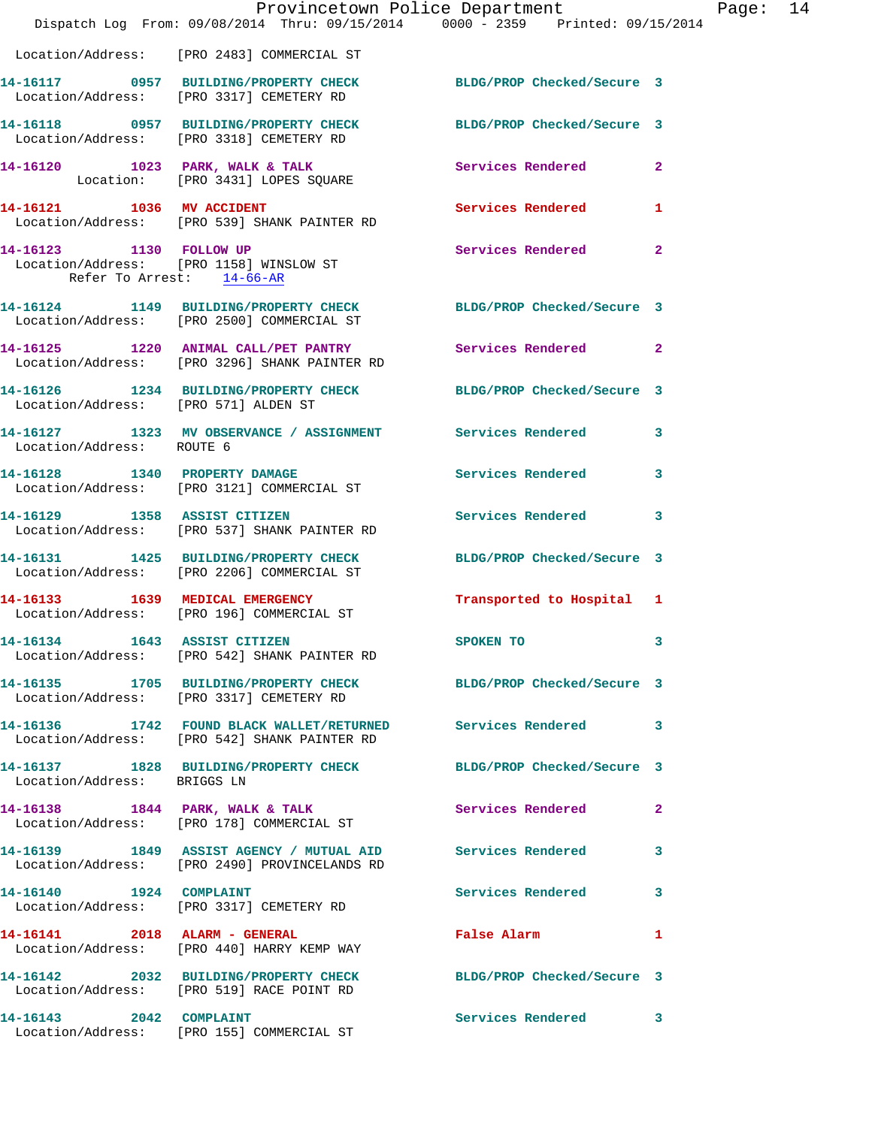|                                                      | Dispatch Log From: 09/08/2014 Thru: 09/15/2014 0000 - 2359 Printed: 09/15/2014                                 | Provincetown Police Department | Page: 14     |
|------------------------------------------------------|----------------------------------------------------------------------------------------------------------------|--------------------------------|--------------|
|                                                      | Location/Address: [PRO 2483] COMMERCIAL ST                                                                     |                                |              |
|                                                      | 14-16117 0957 BUILDING/PROPERTY CHECK BLDG/PROP Checked/Secure 3<br>Location/Address: [PRO 3317] CEMETERY RD   |                                |              |
|                                                      | 14-16118 0957 BUILDING/PROPERTY CHECK BLDG/PROP Checked/Secure 3<br>Location/Address: [PRO 3318] CEMETERY RD   |                                |              |
|                                                      | 14-16120 1023 PARK, WALK & TALK 1988 Services Rendered 2<br>Location: [PRO 3431] LOPES SQUARE                  |                                |              |
|                                                      | 14-16121 1036 MV ACCIDENT<br>Location/Address: [PRO 539] SHANK PAINTER RD                                      | Services Rendered              | $\mathbf{1}$ |
| 14-16123 1130 FOLLOW UP<br>Refer To Arrest: 14-66-AR | Location/Address: [PRO 1158] WINSLOW ST                                                                        | Services Rendered 2            |              |
|                                                      | 14-16124 1149 BUILDING/PROPERTY CHECK BLDG/PROP Checked/Secure 3<br>Location/Address: [PRO 2500] COMMERCIAL ST |                                |              |
|                                                      | 14-16125 1220 ANIMAL CALL/PET PANTRY Services Rendered 2<br>Location/Address: [PRO 3296] SHANK PAINTER RD      |                                |              |
| Location/Address: [PRO 571] ALDEN ST                 | 14-16126 1234 BUILDING/PROPERTY CHECK BLDG/PROP Checked/Secure 3                                               |                                |              |
| Location/Address: ROUTE 6                            | 14-16127 1323 MV OBSERVANCE / ASSIGNMENT Services Rendered 3                                                   |                                |              |
|                                                      | 14-16128 1340 PROPERTY DAMAGE<br>Location/Address: [PRO 3121] COMMERCIAL ST                                    | Services Rendered 3            |              |
|                                                      | 14-16129 1358 ASSIST CITIZEN<br>Location/Address: [PRO 537] SHANK PAINTER RD                                   | Services Rendered 3            |              |
|                                                      | 14-16131 1425 BUILDING/PROPERTY CHECK BLDG/PROP Checked/Secure 3<br>Location/Address: [PRO 2206] COMMERCIAL ST |                                |              |
|                                                      | 14-16133 1639 MEDICAL EMERGENCY<br>Location/Address: [PRO 196] COMMERCIAL ST                                   | Transported to Hospital 1      |              |
|                                                      | 14-16134    1643    ASSIST CITIZEN<br>Location/Address: [PRO 542] SHANK PAINTER RD                             | <b>SPOKEN TO</b>               |              |
|                                                      | 14-16135 1705 BUILDING/PROPERTY CHECK BLDG/PROP Checked/Secure 3<br>Location/Address: [PRO 3317] CEMETERY RD   |                                |              |
|                                                      | 14-16136 1742 FOUND BLACK WALLET/RETURNED Services Rendered 3<br>Location/Address: [PRO 542] SHANK PAINTER RD  |                                |              |
| Location/Address: BRIGGS LN                          | 14-16137 1828 BUILDING/PROPERTY CHECK BLDG/PROP Checked/Secure 3                                               |                                |              |
|                                                      | 14-16138 1844 PARK, WALK & TALK<br>Location/Address: [PRO 178] COMMERCIAL ST                                   | Services Rendered 2            |              |
|                                                      | 14-16139 1849 ASSIST AGENCY / MUTUAL AID Services Rendered<br>Location/Address: [PRO 2490] PROVINCELANDS RD    |                                | 3            |
| 14-16140 1924 COMPLAINT                              | Location/Address: [PRO 3317] CEMETERY RD                                                                       | Services Rendered 3            |              |
|                                                      | 14-16141 2018 ALARM - GENERAL<br>Location/Address: [PRO 440] HARRY KEMP WAY                                    | False Alarm                    | 1            |
|                                                      | 14-16142 2032 BUILDING/PROPERTY CHECK BLDG/PROP Checked/Secure 3<br>Location/Address: [PRO 519] RACE POINT RD  |                                |              |
|                                                      | 14-16143 2042 COMPLAINT<br>Location/Address: [PRO 155] COMMERCIAL ST                                           | Services Rendered 3            |              |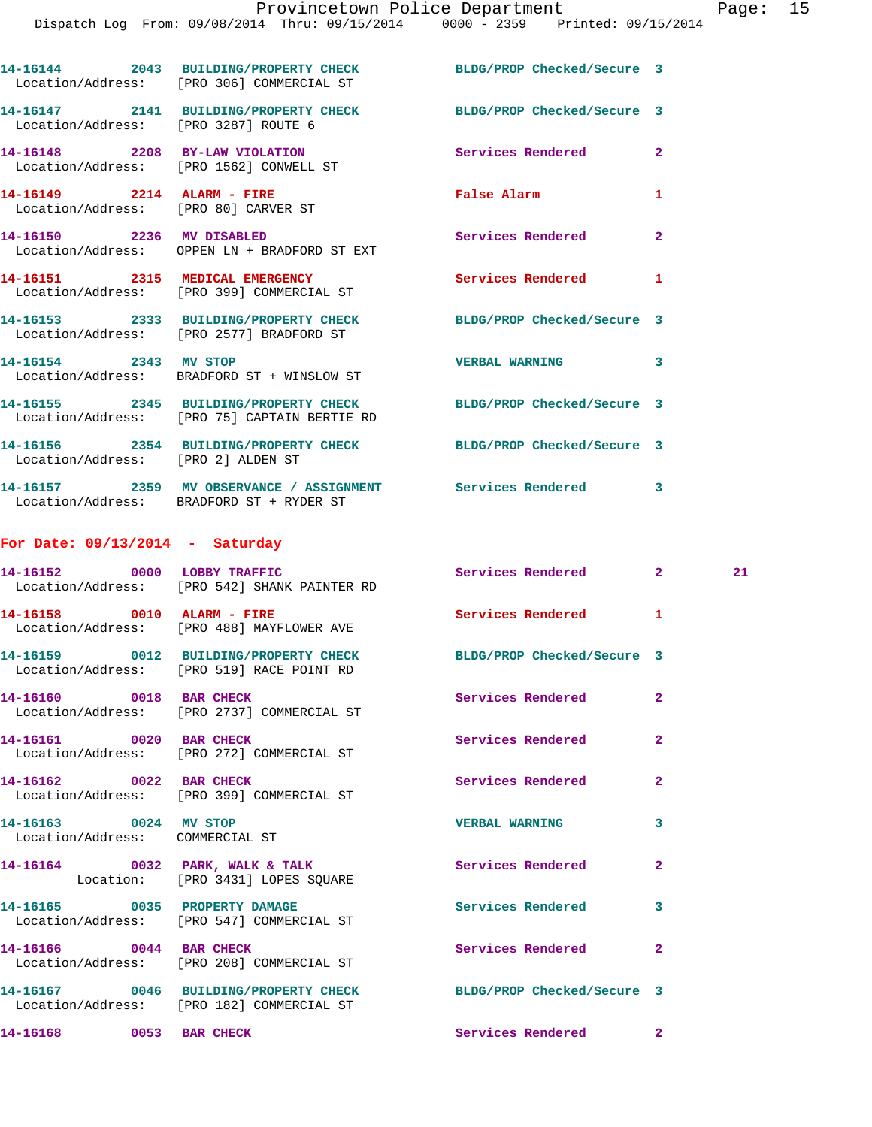Dispatch Log From: 09/08/2014 Thru: 09/15/2014 0000 - 2359 Printed: 09/15/2014

**14-16144 2043 BUILDING/PROPERTY CHECK BLDG/PROP Checked/Secure 3**  Location/Address: [PRO 306] COMMERCIAL ST **14-16147 2141 BUILDING/PROPERTY CHECK BLDG/PROP Checked/Secure 3**  Location/Address: [PRO 3287] ROUTE 6 **14-16148 2208 BY-LAW VIOLATION Services Rendered 2**  Location/Address: [PRO 1562] CONWELL ST **14-16149 2214 ALARM - FIRE False Alarm 1**  Location/Address: [PRO 80] CARVER ST **14-16150 2236 MV DISABLED Services Rendered 2**  Location/Address: OPPEN LN + BRADFORD ST EXT **14-16151 2315 MEDICAL EMERGENCY Services Rendered 1**  Location/Address: [PRO 399] COMMERCIAL ST **14-16153 2333 BUILDING/PROPERTY CHECK BLDG/PROP Checked/Secure 3**  Location/Address: [PRO 2577] BRADFORD ST **14-16154 2343 MV STOP VERBAL WARNING 3**  Location/Address: BRADFORD ST + WINSLOW ST **14-16155 2345 BUILDING/PROPERTY CHECK BLDG/PROP Checked/Secure 3**  Location/Address: [PRO 75] CAPTAIN BERTIE RD **14-16156 2354 BUILDING/PROPERTY CHECK BLDG/PROP Checked/Secure 3**  Location/Address: [PRO 2] ALDEN ST **14-16157 2359 MV OBSERVANCE / ASSIGNMENT Services Rendered 3**  Location/Address: BRADFORD ST + RYDER ST **For Date: 09/13/2014 - Saturday 14-16152 0000 LOBBY TRAFFIC Services Rendered 2 21**  Location/Address: [PRO 542] SHANK PAINTER RD **14-16158 0010 ALARM - FIRE Services Rendered 1**  Location/Address: [PRO 488] MAYFLOWER AVE

Location/Address: [PRO 519] RACE POINT RD

Location/Address: [PRO 2737] COMMERCIAL ST

Location/Address: [PRO 272] COMMERCIAL ST

Location/Address: [PRO 399] COMMERCIAL ST

Location/Address: COMMERCIAL ST

Location: [PRO 3431] LOPES SQUARE

Location/Address: [PRO 547] COMMERCIAL ST

Location/Address: [PRO 208] COMMERCIAL ST

Location/Address: [PRO 182] COMMERCIAL ST

**14-16159 0012 BUILDING/PROPERTY CHECK BLDG/PROP Checked/Secure 3 14-16160 0018 BAR CHECK Services Rendered 2 14-16161 0020 BAR CHECK Services Rendered 2**  14-16162 0022 BAR CHECK Services Rendered 2 **14-16163 0024 MV STOP VERBAL WARNING 3**  14-16164 0032 PARK, WALK & TALK Services Rendered 2 **14-16165 0035 PROPERTY DAMAGE Services Rendered 3 14-16166 0044 BAR CHECK Services Rendered 2 14-16167 0046 BUILDING/PROPERTY CHECK BLDG/PROP Checked/Secure 3 14-16168 0053 BAR CHECK Services Rendered 2**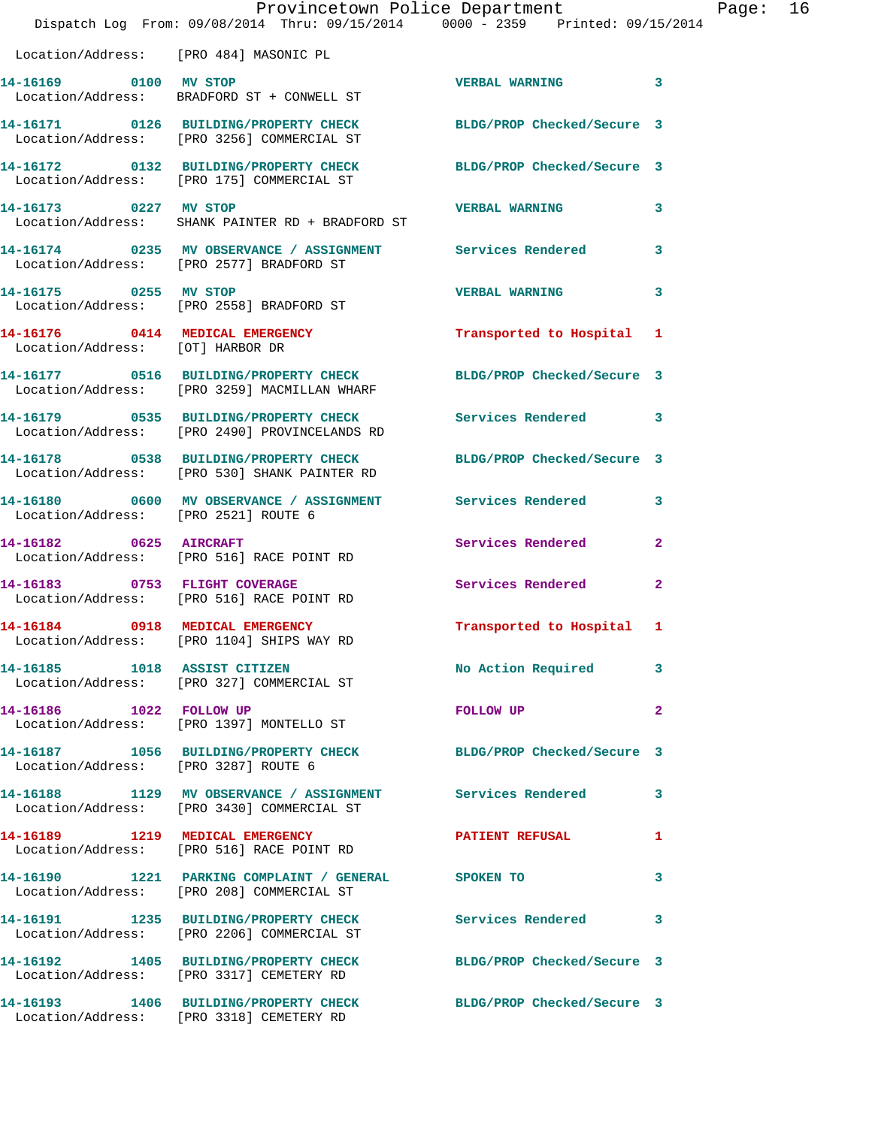|                                        | Provincetown Police Department<br>Dispatch Log From: 09/08/2014 Thru: 09/15/2014 0000 - 2359 Printed: 09/15/2014 |                            |                |
|----------------------------------------|------------------------------------------------------------------------------------------------------------------|----------------------------|----------------|
| Location/Address: [PRO 484] MASONIC PL |                                                                                                                  |                            |                |
|                                        | 14-16169 0100 MV STOP<br>Location/Address: BRADFORD ST + CONWELL ST                                              | <b>VERBAL WARNING</b>      | 3              |
|                                        | 14-16171 0126 BUILDING/PROPERTY CHECK<br>Location/Address: [PRO 3256] COMMERCIAL ST                              | BLDG/PROP Checked/Secure 3 |                |
|                                        | 14-16172   0132   BUILDING/PROPERTY CHECK<br>Location/Address: [PRO 175] COMMERCIAL ST                           | BLDG/PROP Checked/Secure 3 |                |
| 14-16173 0227 MV STOP                  | Location/Address: SHANK PAINTER RD + BRADFORD ST                                                                 | <b>VERBAL WARNING</b>      | 3              |
|                                        | 14-16174 0235 MV OBSERVANCE / ASSIGNMENT Services Rendered<br>Location/Address: [PRO 2577] BRADFORD ST           |                            | 3              |
| 14-16175 0255 MV STOP                  | Location/Address: [PRO 2558] BRADFORD ST                                                                         | <b>VERBAL WARNING</b>      | 3              |
| Location/Address: [OT] HARBOR DR       | 14-16176 0414 MEDICAL EMERGENCY                                                                                  | Transported to Hospital    | 1              |
|                                        | 14-16177 0516 BUILDING/PROPERTY CHECK<br>Location/Address: [PRO 3259] MACMILLAN WHARF                            | BLDG/PROP Checked/Secure 3 |                |
|                                        | 14-16179 0535 BUILDING/PROPERTY CHECK Services Rendered<br>Location/Address: [PRO 2490] PROVINCELANDS RD         |                            | 3              |
|                                        | 14-16178 0538 BUILDING/PROPERTY CHECK<br>Location/Address: [PRO 530] SHANK PAINTER RD                            | BLDG/PROP Checked/Secure 3 |                |
| Location/Address: [PRO 2521] ROUTE 6   | 14-16180 0600 MV OBSERVANCE / ASSIGNMENT Services Rendered                                                       |                            | 3              |
|                                        | 14-16182 0625 AIRCRAFT<br>Location/Address: [PRO 516] RACE POINT RD                                              | Services Rendered          | $\overline{2}$ |
|                                        | 14-16183 0753 FLIGHT COVERAGE<br>Location/Address: [PRO 516] RACE POINT RD                                       | Services Rendered          | $\mathbf{2}$   |
| 14-16184 0918 MEDICAL EMERGENCY        | Location/Address: [PRO 1104] SHIPS WAY RD                                                                        | Transported to Hospital    | 1              |
|                                        | 14-16185 1018 ASSIST CITIZEN<br>Location/Address: [PRO 327] COMMERCIAL ST                                        | No Action Required         | 3              |
|                                        | 14-16186    1022    FOLLOW UP<br>Location/Address: [PRO 1397] MONTELLO ST                                        | <b>FOLLOW UP</b>           | 2              |
| Location/Address: [PRO 3287] ROUTE 6   | 14-16187 1056 BUILDING/PROPERTY CHECK                                                                            | BLDG/PROP Checked/Secure 3 |                |
|                                        | 14-16188 1129 MV OBSERVANCE / ASSIGNMENT Services Rendered<br>Location/Address: [PRO 3430] COMMERCIAL ST         |                            | 3              |
|                                        | 14-16189 1219 MEDICAL EMERGENCY<br>Location/Address: [PRO 516] RACE POINT RD                                     | <b>PATIENT REFUSAL</b>     | 1              |
|                                        | 14-16190 1221 PARKING COMPLAINT / GENERAL SPOKEN TO<br>Location/Address: [PRO 208] COMMERCIAL ST                 |                            | 3              |
|                                        | 14-16191 1235 BUILDING/PROPERTY CHECK Services Rendered<br>Location/Address: [PRO 2206] COMMERCIAL ST            |                            | 3              |
|                                        | 14-16192 1405 BUILDING/PROPERTY CHECK<br>Location/Address: [PRO 3317] CEMETERY RD                                | BLDG/PROP Checked/Secure 3 |                |
|                                        | 14-16193 1406 BUILDING/PROPERTY CHECK<br>Location/Address: [PRO 3318] CEMETERY RD                                | BLDG/PROP Checked/Secure 3 |                |

Page: 16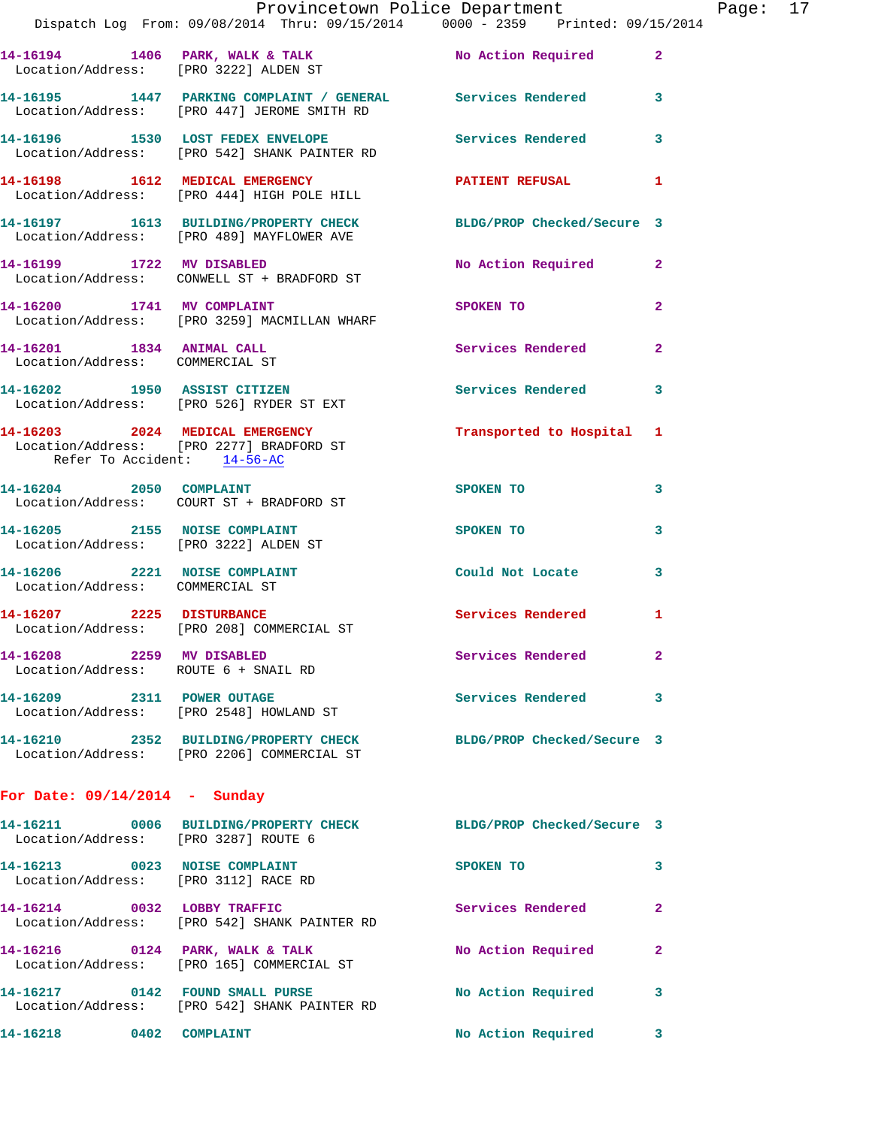|                                      | Dispatch Log From: 09/08/2014 Thru: 09/15/2014 0000 - 2359 Printed: 09/15/2014                                    | Provincetown Police Department Page: 17 |              |  |
|--------------------------------------|-------------------------------------------------------------------------------------------------------------------|-----------------------------------------|--------------|--|
|                                      | 14-16194 1406 PARK, WALK & TALK No Action Required 2<br>Location/Address: [PRO 3222] ALDEN ST                     |                                         |              |  |
|                                      | 14-16195 1447 PARKING COMPLAINT / GENERAL Services Rendered 3<br>Location/Address: [PRO 447] JEROME SMITH RD      |                                         |              |  |
|                                      | 14-16196 1530 LOST FEDEX ENVELOPE Services Rendered 3<br>Location/Address: [PRO 542] SHANK PAINTER RD             |                                         |              |  |
|                                      | 14-16198 1612 MEDICAL EMERGENCY PATIENT REFUSAL<br>Location/Address: [PRO 444] HIGH POLE HILL                     |                                         | 1            |  |
|                                      | 14-16197   1613   BUILDING/PROPERTY CHECK BLDG/PROP Checked/Secure 3<br>Location/Address: [PRO 489] MAYFLOWER AVE |                                         |              |  |
|                                      | 14-16199 1722 MV DISABLED<br>Location/Address: CONWELL ST + BRADFORD ST                                           | No Action Required 2                    |              |  |
|                                      | 14-16200 1741 MV COMPLAINT<br>Location/Address: [PRO 3259] MACMILLAN WHARF                                        | <b>SPOKEN TO</b>                        | $\mathbf{2}$ |  |
| Location/Address: COMMERCIAL ST      | 14-16201 1834 ANIMAL CALL                                                                                         | Services Rendered                       | $\mathbf{2}$ |  |
|                                      | 14-16202 1950 ASSIST CITIZEN<br>Location/Address: [PRO 526] RYDER ST EXT                                          | Services Rendered 3                     |              |  |
| Refer To Accident: 14-56-AC          | 14-16203 2024 MEDICAL EMERGENCY<br>Location/Address: [PRO 2277] BRADFORD ST                                       | Transported to Hospital 1               |              |  |
| 14-16204 2050 COMPLAINT              | Location/Address: COURT ST + BRADFORD ST                                                                          | SPOKEN TO                               | 3            |  |
|                                      | 14-16205 2155 NOISE COMPLAINT<br>Location/Address: [PRO 3222] ALDEN ST                                            | SPOKEN TO                               | 3            |  |
| Location/Address: COMMERCIAL ST      | 14-16206 2221 NOISE COMPLAINT                                                                                     | Could Not Locate                        | 3            |  |
|                                      | 14-16207 2225 DISTURBANCE<br>Location/Address: [PRO 208] COMMERCIAL ST                                            | Services Rendered 1                     |              |  |
| 14-16208 2259 MV DISABLED            | Location/Address: ROUTE 6 + SNAIL RD                                                                              | Services Rendered                       | $\mathbf{2}$ |  |
|                                      | 14-16209 2311 POWER OUTAGE<br>Location/Address: [PRO 2548] HOWLAND ST                                             | Services Rendered                       | -3           |  |
|                                      | 14-16210 2352 BUILDING/PROPERTY CHECK BLDG/PROP Checked/Secure 3<br>Location/Address: [PRO 2206] COMMERCIAL ST    |                                         |              |  |
| For Date: $09/14/2014$ - Sunday      |                                                                                                                   |                                         |              |  |
| Location/Address: [PRO 3287] ROUTE 6 | 14-16211 0006 BUILDING/PROPERTY CHECK BLDG/PROP Checked/Secure 3                                                  |                                         |              |  |
| Location/Address: [PRO 3112] RACE RD | 14-16213 0023 NOISE COMPLAINT                                                                                     | SPOKEN TO                               | 3            |  |
|                                      | 14-16214 0032 LOBBY TRAFFIC<br>Location/Address: [PRO 542] SHANK PAINTER RD                                       | Services Rendered                       | $\mathbf{2}$ |  |
|                                      | 14-16216 0124 PARK, WALK & TALK<br>Location/Address: [PRO 165] COMMERCIAL ST                                      | No Action Required                      | 2            |  |
| 14-16217 0142 FOUND SMALL PURSE      | Location/Address: [PRO 542] SHANK PAINTER RD                                                                      | <b>No Action Required</b>               | 3            |  |
|                                      |                                                                                                                   | No Action Required                      | 3            |  |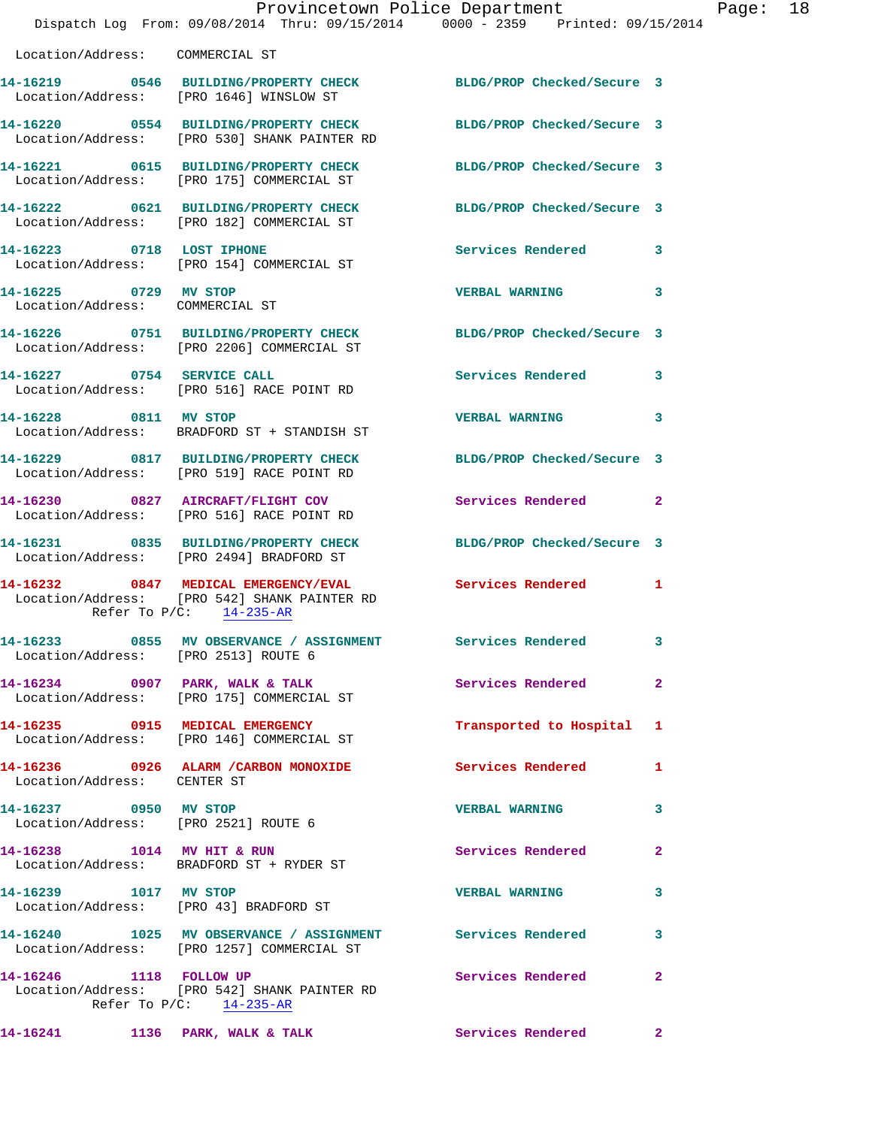|                                                               | Provincetown Police Department<br>Dispatch Log From: 09/08/2014 Thru: 09/15/2014 0000 - 2359 Printed: 09/15/2014                     |                            |                |
|---------------------------------------------------------------|--------------------------------------------------------------------------------------------------------------------------------------|----------------------------|----------------|
| Location/Address: COMMERCIAL ST                               |                                                                                                                                      |                            |                |
| Location/Address: [PRO 1646] WINSLOW ST                       | 14-16219 0546 BUILDING/PROPERTY CHECK BLDG/PROP Checked/Secure 3                                                                     |                            |                |
|                                                               | 14-16220 0554 BUILDING/PROPERTY CHECK BLDG/PROP Checked/Secure 3<br>Location/Address: [PRO 530] SHANK PAINTER RD                     |                            |                |
|                                                               | 14-16221 0615 BUILDING/PROPERTY CHECK BLDG/PROP Checked/Secure 3<br>Location/Address: [PRO 175] COMMERCIAL ST                        |                            |                |
|                                                               | 14-16222 0621 BUILDING/PROPERTY CHECK BLDG/PROP Checked/Secure 3<br>Location/Address: [PRO 182] COMMERCIAL ST                        |                            |                |
|                                                               | 14-16223 0718 LOST IPHONE<br>Location/Address: [PRO 154] COMMERCIAL ST                                                               | <b>Services Rendered</b>   | 3              |
| 14-16225 0729 MV STOP<br>Location/Address: COMMERCIAL ST      |                                                                                                                                      | <b>VERBAL WARNING</b>      | 3              |
|                                                               | 14-16226 0751 BUILDING/PROPERTY CHECK<br>Location/Address: [PRO 2206] COMMERCIAL ST                                                  | BLDG/PROP Checked/Secure 3 |                |
|                                                               | 14-16227 0754 SERVICE CALL<br>Location/Address: [PRO 516] RACE POINT RD                                                              | <b>Services Rendered</b>   | 3              |
| 14-16228 0811 MV STOP                                         | Location/Address: BRADFORD ST + STANDISH ST                                                                                          | <b>VERBAL WARNING</b>      | 3              |
|                                                               | 14-16229 0817 BUILDING/PROPERTY CHECK BLDG/PROP Checked/Secure 3<br>Location/Address: [PRO 519] RACE POINT RD                        |                            |                |
|                                                               | 14-16230 0827 AIRCRAFT/FLIGHT COV<br>Location/Address: [PRO 516] RACE POINT RD                                                       | <b>Services Rendered</b>   | $\overline{2}$ |
|                                                               | 14-16231 0835 BUILDING/PROPERTY CHECK<br>Location/Address: [PRO 2494] BRADFORD ST                                                    | BLDG/PROP Checked/Secure 3 |                |
|                                                               | 14-16232 0847 MEDICAL EMERGENCY/EVAL Services Rendered<br>Location/Address: [PRO 542] SHANK PAINTER RD<br>Refer To $P/C$ : 14-235-AR |                            | $\mathbf{1}$   |
| Location/Address: [PRO 2513] ROUTE 6                          | 14-16233 6855 MV OBSERVANCE / ASSIGNMENT Services Rendered                                                                           |                            | 3              |
|                                                               | 14-16234 0907 PARK, WALK & TALK<br>Location/Address: [PRO 175] COMMERCIAL ST                                                         | Services Rendered          | $\mathbf{2}$   |
|                                                               | 14-16235 0915 MEDICAL EMERGENCY<br>Location/Address: [PRO 146] COMMERCIAL ST                                                         | Transported to Hospital    | 1              |
| Location/Address: CENTER ST                                   | 14-16236 0926 ALARM / CARBON MONOXIDE                                                                                                | <b>Services Rendered</b>   | 1              |
| 14-16237 0950 MV STOP<br>Location/Address: [PRO 2521] ROUTE 6 |                                                                                                                                      | <b>VERBAL WARNING</b>      | 3              |
| 14-16238 1014 MV HIT & RUN                                    | Location/Address: BRADFORD ST + RYDER ST                                                                                             | <b>Services Rendered</b>   | $\mathbf{2}$   |
| 14-16239 1017 MV STOP                                         | Location/Address: [PRO 43] BRADFORD ST                                                                                               | <b>VERBAL WARNING</b>      | 3              |
|                                                               | 14-16240 1025 MV OBSERVANCE / ASSIGNMENT Services Rendered<br>Location/Address: [PRO 1257] COMMERCIAL ST                             |                            | 3              |
|                                                               | 14-16246 1118 FOLLOW UP<br>Location/Address: [PRO 542] SHANK PAINTER RD<br>Refer To $P/C$ : 14-235-AR                                | <b>Services Rendered</b>   | 2              |
| 14-16241 1136 PARK, WALK & TALK                               |                                                                                                                                      | Services Rendered          | $\mathbf{2}$   |

Page:  $18$ <br> $14$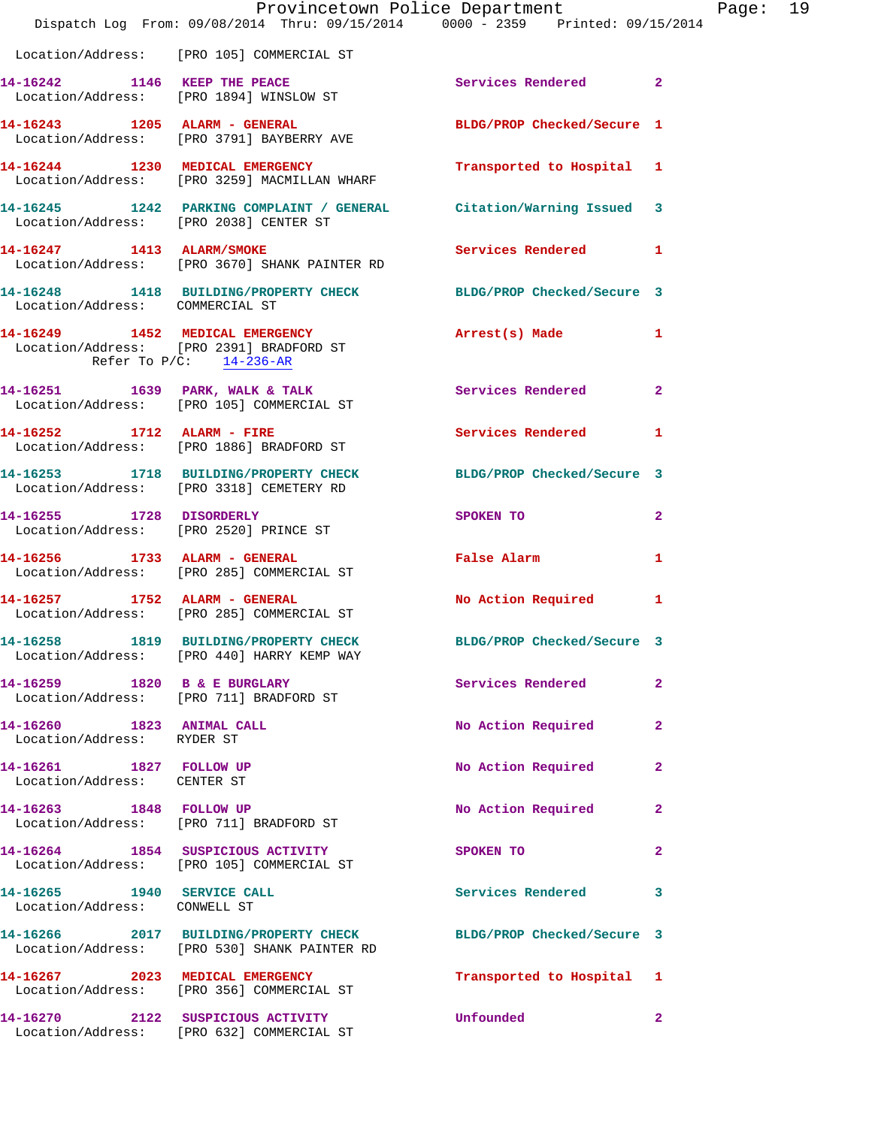|                                                                    | Provincetown Police Department Page: 19<br>Dispatch Log From: 09/08/2014 Thru: 09/15/2014 0000 - 2359 Printed: 09/15/2014 |                            |                |
|--------------------------------------------------------------------|---------------------------------------------------------------------------------------------------------------------------|----------------------------|----------------|
|                                                                    | Location/Address: [PRO 105] COMMERCIAL ST                                                                                 |                            |                |
|                                                                    | 14-16242 1146 KEEP THE PEACE<br>Location/Address: [PRO 1894] WINSLOW ST                                                   | Services Rendered 2        |                |
|                                                                    | 14-16243 1205 ALARM - GENERAL BLDG/PROP Checked/Secure 1<br>Location/Address: [PRO 3791] BAYBERRY AVE                     |                            |                |
|                                                                    | 14-16244 1230 MEDICAL EMERGENCY<br>Location/Address: [PRO 3259] MACMILLAN WHARF                                           | Transported to Hospital 1  |                |
|                                                                    | 14-16245 1242 PARKING COMPLAINT / GENERAL Citation/Warning Issued 3<br>Location/Address: [PRO 2038] CENTER ST             |                            |                |
|                                                                    | 14-16247 1413 ALARM/SMOKE<br>Location/Address: [PRO 3670] SHANK PAINTER RD                                                | Services Rendered 1        |                |
|                                                                    | 14-16248 1418 BUILDING/PROPERTY CHECK BLDG/PROP Checked/Secure 3<br>Location/Address: COMMERCIAL ST                       |                            |                |
| Refer To $P/C:$ 14-236-AR                                          | 14-16249 1452 MEDICAL EMERGENCY<br>Location/Address: [PRO 2391] BRADFORD ST                                               | Arrest(s) Made             | $\mathbf{1}$   |
|                                                                    | 14-16251 1639 PARK, WALK & TALK Services Rendered 2<br>Location/Address: [PRO 105] COMMERCIAL ST                          |                            |                |
|                                                                    | 14-16252 1712 ALARM - FIRE<br>Location/Address: [PRO 1886] BRADFORD ST                                                    | <b>Services Rendered</b>   | $\mathbf{1}$   |
|                                                                    | 14-16253 1718 BUILDING/PROPERTY CHECK BLDG/PROP Checked/Secure 3<br>Location/Address: [PRO 3318] CEMETERY RD              |                            |                |
|                                                                    | 14-16255 1728 DISORDERLY<br>Location/Address: [PRO 2520] PRINCE ST                                                        | SPOKEN TO                  | $\mathbf{2}$   |
|                                                                    | 14-16256 1733 ALARM - GENERAL<br>Location/Address: [PRO 285] COMMERCIAL ST                                                | False Alarm                | $\mathbf{1}$   |
|                                                                    | 14-16257              1752    ALARM - GENERAL<br>Location/Address:     [PRO 285] COMMERCIAL ST                            | No Action Required 1       |                |
|                                                                    | 14-16258 1819 BUILDING/PROPERTY CHECK<br>Location/Address: [PRO 440] HARRY KEMP WAY                                       | BLDG/PROP Checked/Secure 3 |                |
|                                                                    | 14-16259 1820 B & E BURGLARY<br>Location/Address: [PRO 711] BRADFORD ST                                                   | Services Rendered          | $\overline{2}$ |
| 14-16260 1823 ANIMAL CALL<br>Location/Address: RYDER ST            |                                                                                                                           | No Action Required         | $\mathbf{2}$   |
| 14-16261 1827 FOLLOW UP<br>Location/Address: CENTER ST             |                                                                                                                           | No Action Required         | $\mathbf{2}$   |
| 14-16263 1848 FOLLOW UP<br>Location/Address: [PRO 711] BRADFORD ST |                                                                                                                           | No Action Required         | $\overline{2}$ |
|                                                                    | 14-16264 1854 SUSPICIOUS ACTIVITY<br>Location/Address: [PRO 105] COMMERCIAL ST                                            | SPOKEN TO                  | $\mathbf{2}$   |
| 14-16265 1940 SERVICE CALL<br>Location/Address: CONWELL ST         |                                                                                                                           | Services Rendered          | 3              |
|                                                                    | 14-16266 2017 BUILDING/PROPERTY CHECK<br>Location/Address: [PRO 530] SHANK PAINTER RD                                     | BLDG/PROP Checked/Secure 3 |                |
|                                                                    | 14-16267 2023 MEDICAL EMERGENCY<br>Location/Address: [PRO 356] COMMERCIAL ST                                              | Transported to Hospital 1  |                |
|                                                                    | 14-16270 2122 SUSPICIOUS ACTIVITY<br>Location/Address: [PRO 632] COMMERCIAL ST                                            | Unfounded                  | 2              |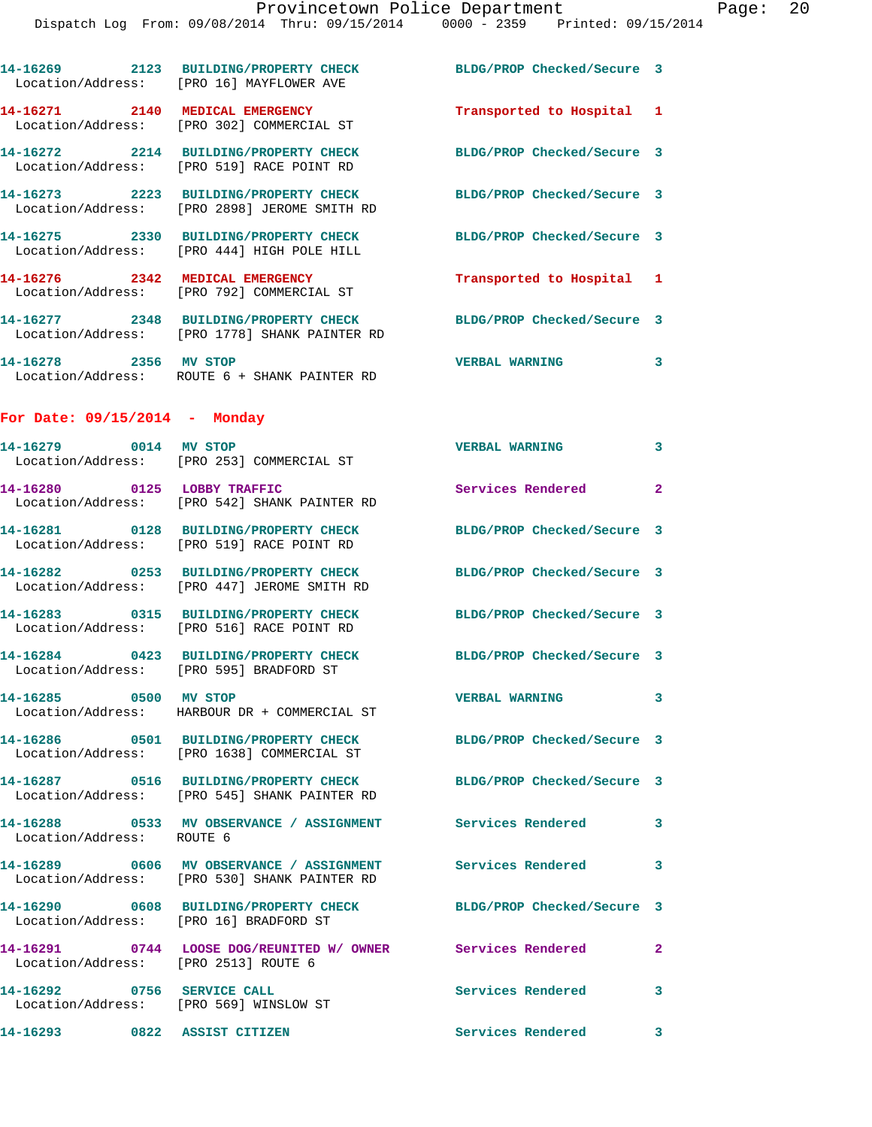|                                        | 14-16269 2123 BUILDING/PROPERTY CHECK<br>Location/Address: [PRO 16] MAYFLOWER AVE                                 | BLDG/PROP Checked/Secure 3 |                          |
|----------------------------------------|-------------------------------------------------------------------------------------------------------------------|----------------------------|--------------------------|
|                                        | 14-16271 2140 MEDICAL EMERGENCY<br>Location/Address: [PRO 302] COMMERCIAL ST                                      | Transported to Hospital 1  |                          |
|                                        | 14-16272 2214 BUILDING/PROPERTY CHECK<br>Location/Address: [PRO 519] RACE POINT RD                                | BLDG/PROP Checked/Secure 3 |                          |
|                                        | 14-16273 2223 BUILDING/PROPERTY CHECK<br>Location/Address: [PRO 2898] JEROME SMITH RD                             | BLDG/PROP Checked/Secure 3 |                          |
|                                        | 14-16275 2330 BUILDING/PROPERTY CHECK<br>Location/Address: [PRO 444] HIGH POLE HILL                               | BLDG/PROP Checked/Secure 3 |                          |
|                                        | 14-16276 2342 MEDICAL EMERGENCY<br>Location/Address: [PRO 792] COMMERCIAL ST                                      | Transported to Hospital 1  |                          |
|                                        | 14-16277 2348 BUILDING/PROPERTY CHECK BLDG/PROP Checked/Secure 3<br>Location/Address: [PRO 1778] SHANK PAINTER RD |                            |                          |
|                                        | 14-16278 2356 MV STOP<br>Location/Address: ROUTE 6 + SHANK PAINTER RD                                             | <b>VERBAL WARNING</b>      | 3                        |
| For Date: $09/15/2014$ - Monday        |                                                                                                                   |                            |                          |
|                                        | 14-16279 0014 MV STOP<br>Location/Address: [PRO 253] COMMERCIAL ST                                                | <b>VERBAL WARNING</b>      | $\overline{\phantom{a}}$ |
| 14-16280 0125 LOBBY TRAFFIC            | Location/Address: [PRO 542] SHANK PAINTER RD                                                                      | Services Rendered 2        |                          |
|                                        | 14-16281 0128 BUILDING/PROPERTY CHECK<br>Location/Address: [PRO 519] RACE POINT RD                                | BLDG/PROP Checked/Secure 3 |                          |
|                                        | 14-16282 0253 BUILDING/PROPERTY CHECK<br>Location/Address: [PRO 447] JEROME SMITH RD                              | BLDG/PROP Checked/Secure 3 |                          |
|                                        | 14-16283 0315 BUILDING/PROPERTY CHECK<br>Location/Address: [PRO 516] RACE POINT RD                                | BLDG/PROP Checked/Secure 3 |                          |
|                                        | 14-16284 0423 BUILDING/PROPERTY CHECK<br>Location/Address: [PRO 595] BRADFORD ST                                  | BLDG/PROP Checked/Secure 3 |                          |
| 14-16285 0500 MV STOP                  | Location/Address: HARBOUR DR + COMMERCIAL ST                                                                      | <b>VERBAL WARNING</b>      | 3                        |
|                                        | 14-16286 0501 BUILDING/PROPERTY CHECK<br>Location/Address: [PRO 1638] COMMERCIAL ST                               | BLDG/PROP Checked/Secure 3 |                          |
|                                        | 14-16287 0516 BUILDING/PROPERTY CHECK<br>Location/Address: [PRO 545] SHANK PAINTER RD                             | BLDG/PROP Checked/Secure 3 |                          |
| Location/Address: ROUTE 6              | 14-16288 0533 MV OBSERVANCE / ASSIGNMENT Services Rendered 3                                                      |                            |                          |
|                                        | 14-16289 0606 MV OBSERVANCE / ASSIGNMENT Services Rendered<br>Location/Address: [PRO 530] SHANK PAINTER RD        |                            | 3                        |
| Location/Address: [PRO 16] BRADFORD ST | 14-16290 0608 BUILDING/PROPERTY CHECK BLDG/PROP Checked/Secure 3                                                  |                            |                          |
| Location/Address: [PRO 2513] ROUTE 6   | 14-16291 0744 LOOSE DOG/REUNITED W/ OWNER Services Rendered                                                       |                            | $\mathbf{2}$             |
| 14-16292 0756 SERVICE CALL             | Location/Address: [PRO 569] WINSLOW ST                                                                            | <b>Services Rendered</b>   | 3                        |
| 14-16293 0822 ASSIST CITIZEN           |                                                                                                                   | Services Rendered          | 3                        |
|                                        |                                                                                                                   |                            |                          |